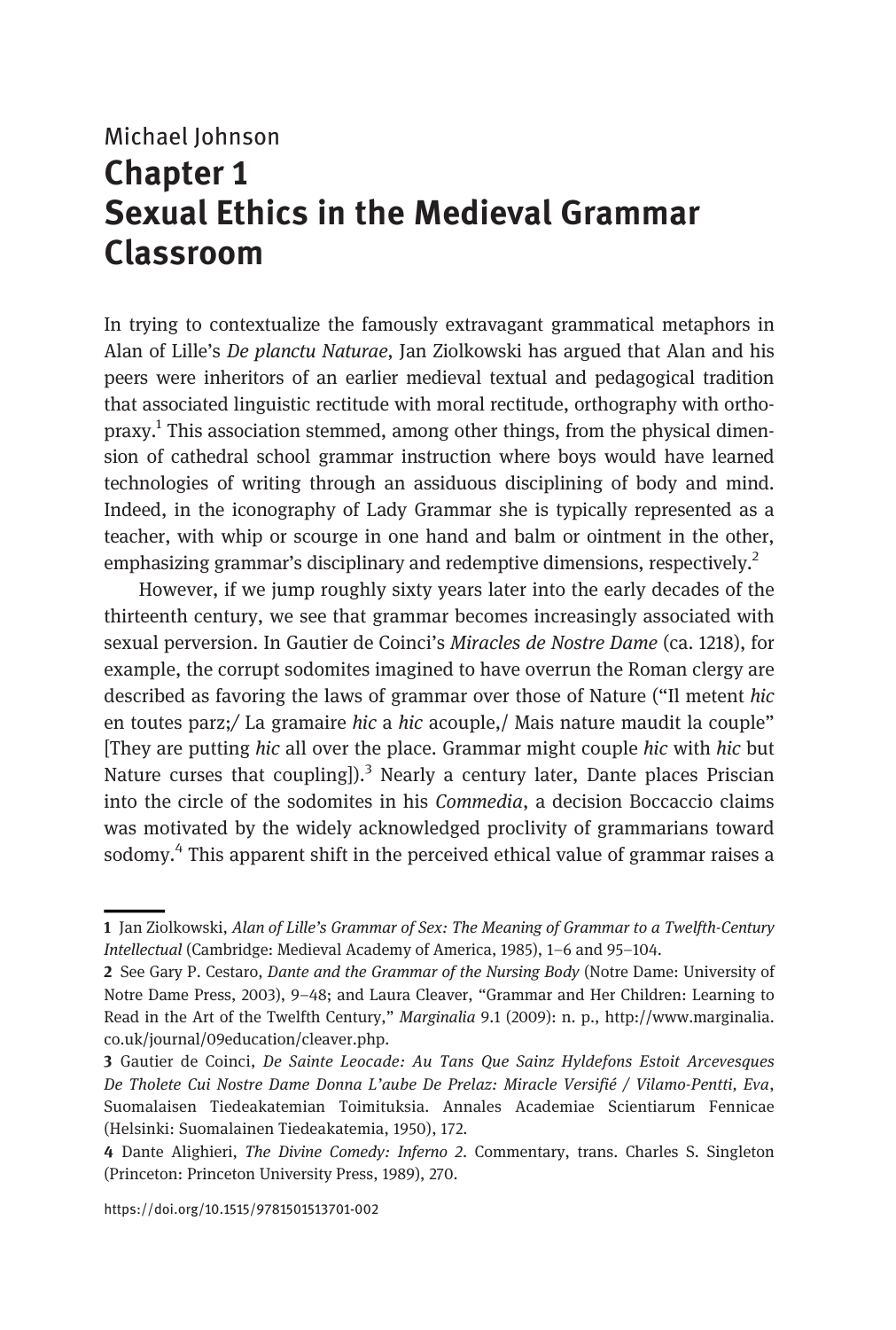# Michael Johnson Chapter 1 Sexual Ethics in the Medieval Grammar Classroom

In trying to contextualize the famously extravagant grammatical metaphors in Alan of Lille's De planctu Naturae, Jan Ziolkowski has argued that Alan and his peers were inheritors of an earlier medieval textual and pedagogical tradition that associated linguistic rectitude with moral rectitude, orthography with ortho- $\mu$ <sub>1</sub>.<sup>1</sup> This association stemmed, among other things, from the physical dimension of cathedral school grammar instruction where boys would have learned technologies of writing through an assiduous disciplining of body and mind. Indeed, in the iconography of Lady Grammar she is typically represented as a teacher, with whip or scourge in one hand and balm or ointment in the other, emphasizing grammar's disciplinary and redemptive dimensions, respectively.<sup>2</sup>

However, if we jump roughly sixty years later into the early decades of the thirteenth century, we see that grammar becomes increasingly associated with sexual perversion. In Gautier de Coinci's Miracles de Nostre Dame (ca. 1218), for example, the corrupt sodomites imagined to have overrun the Roman clergy are described as favoring the laws of grammar over those of Nature ("Il metent hic en toutes parz;/ La gramaire hic a hic acouple,/ Mais nature maudit la couple" [They are putting hic all over the place. Grammar might couple hic with hic but Nature curses that coupling] $\lambda^3$  Nearly a century later, Dante places Priscian into the circle of the sodomites in his Commedia, a decision Boccaccio claims was motivated by the widely acknowledged proclivity of grammarians toward sodomy.<sup>4</sup> This apparent shift in the perceived ethical value of grammar raises a

<sup>1</sup> Jan Ziolkowski, Alan of Lille's Grammar of Sex: The Meaning of Grammar to a Twelfth-Century Intellectual (Cambridge: Medieval Academy of America, 1985), 1–6 and 95–104.

<sup>2</sup> See Gary P. Cestaro, Dante and the Grammar of the Nursing Body (Notre Dame: University of Notre Dame Press, 2003), 9–48; and Laura Cleaver, "Grammar and Her Children: Learning to Read in the Art of the Twelfth Century," Marginalia 9.1 (2009): n. p., [http://www.marginalia.](http://www.marginalia.co.uk/journal/09education/cleaver.php) [co.uk/journal/09education/cleaver.php.](http://www.marginalia.co.uk/journal/09education/cleaver.php)

<sup>3</sup> Gautier de Coinci, De Sainte Leocade: Au Tans Que Sainz Hyldefons Estoit Arcevesques De Tholete Cui Nostre Dame Donna L'aube De Prelaz: Miracle Versifié / Vilamo-Pentti, Eva, Suomalaisen Tiedeakatemian Toimituksia. Annales Academiae Scientiarum Fennicae (Helsinki: Suomalainen Tiedeakatemia, 1950), 172.

<sup>4</sup> Dante Alighieri, The Divine Comedy: Inferno 2. Commentary, trans. Charles S. Singleton (Princeton: Princeton University Press, 1989), 270.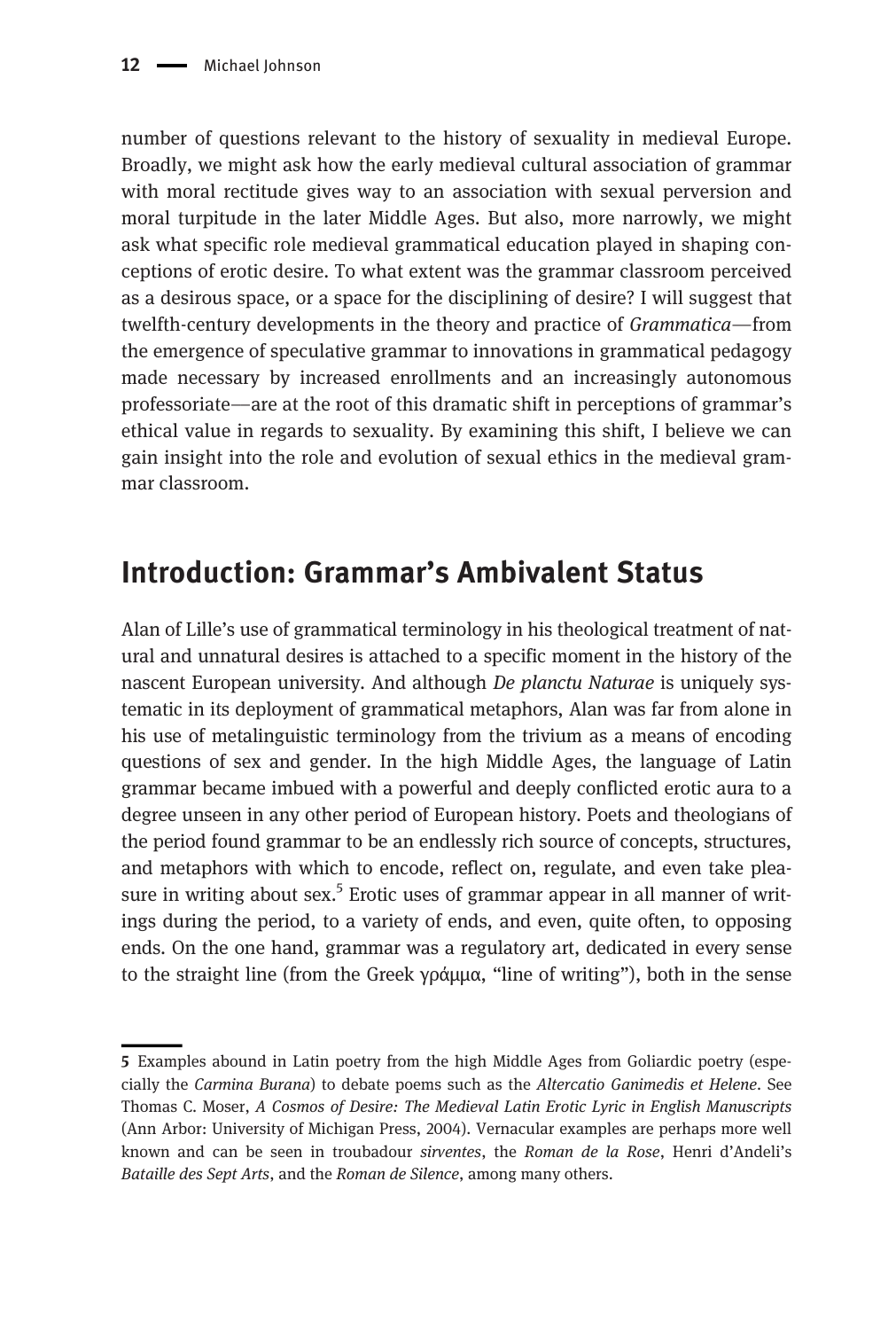number of questions relevant to the history of sexuality in medieval Europe. Broadly, we might ask how the early medieval cultural association of grammar with moral rectitude gives way to an association with sexual perversion and moral turpitude in the later Middle Ages. But also, more narrowly, we might ask what specific role medieval grammatical education played in shaping conceptions of erotic desire. To what extent was the grammar classroom perceived as a desirous space, or a space for the disciplining of desire? I will suggest that twelfth-century developments in the theory and practice of Grammatica––from the emergence of speculative grammar to innovations in grammatical pedagogy made necessary by increased enrollments and an increasingly autonomous professoriate––are at the root of this dramatic shift in perceptions of grammar's ethical value in regards to sexuality. By examining this shift, I believe we can gain insight into the role and evolution of sexual ethics in the medieval grammar classroom.

### Introduction: Grammar's Ambivalent Status

Alan of Lille's use of grammatical terminology in his theological treatment of natural and unnatural desires is attached to a specific moment in the history of the nascent European university. And although De planctu Naturae is uniquely systematic in its deployment of grammatical metaphors, Alan was far from alone in his use of metalinguistic terminology from the trivium as a means of encoding questions of sex and gender. In the high Middle Ages, the language of Latin grammar became imbued with a powerful and deeply conflicted erotic aura to a degree unseen in any other period of European history. Poets and theologians of the period found grammar to be an endlessly rich source of concepts, structures, and metaphors with which to encode, reflect on, regulate, and even take pleasure in writing about sex.<sup>5</sup> Erotic uses of grammar appear in all manner of writings during the period, to a variety of ends, and even, quite often, to opposing ends. On the one hand, grammar was a regulatory art, dedicated in every sense to the straight line (from the Greek γράμμα, "line of writing"), both in the sense

<sup>5</sup> Examples abound in Latin poetry from the high Middle Ages from Goliardic poetry (especially the Carmina Burana) to debate poems such as the Altercatio Ganimedis et Helene. See Thomas C. Moser, A Cosmos of Desire: The Medieval Latin Erotic Lyric in English Manuscripts (Ann Arbor: University of Michigan Press, 2004). Vernacular examples are perhaps more well known and can be seen in troubadour sirventes, the Roman de la Rose, Henri d'Andeli's Bataille des Sept Arts, and the Roman de Silence, among many others.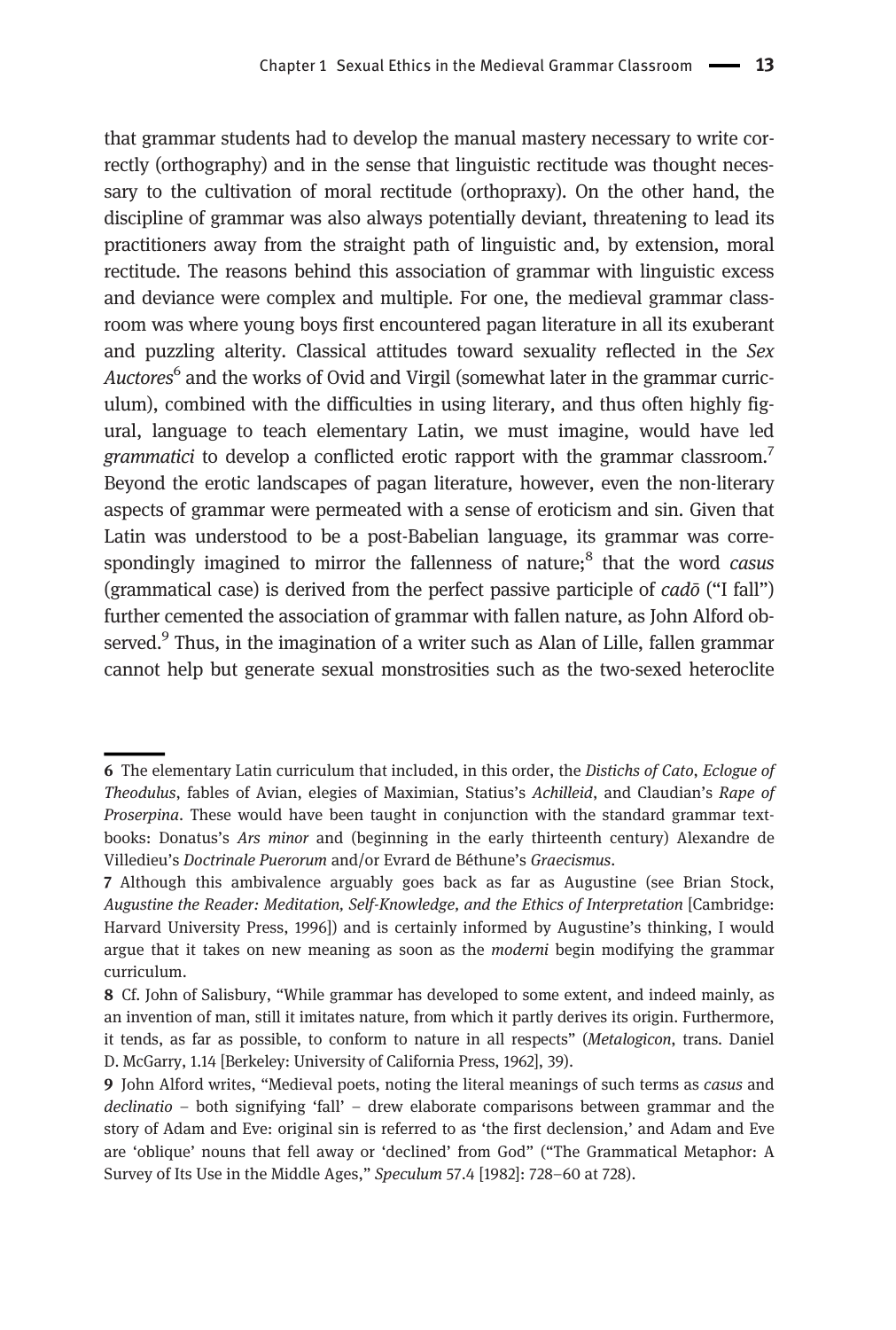that grammar students had to develop the manual mastery necessary to write correctly (orthography) and in the sense that linguistic rectitude was thought necessary to the cultivation of moral rectitude (orthopraxy). On the other hand, the discipline of grammar was also always potentially deviant, threatening to lead its practitioners away from the straight path of linguistic and, by extension, moral rectitude. The reasons behind this association of grammar with linguistic excess and deviance were complex and multiple. For one, the medieval grammar classroom was where young boys first encountered pagan literature in all its exuberant and puzzling alterity. Classical attitudes toward sexuality reflected in the Sex Auctores<sup>6</sup> and the works of Ovid and Virgil (somewhat later in the grammar curriculum), combined with the difficulties in using literary, and thus often highly figural, language to teach elementary Latin, we must imagine, would have led grammatici to develop a conflicted erotic rapport with the grammar classroom.<sup>7</sup> Beyond the erotic landscapes of pagan literature, however, even the non-literary aspects of grammar were permeated with a sense of eroticism and sin. Given that Latin was understood to be a post-Babelian language, its grammar was correspondingly imagined to mirror the fallenness of nature; $<sup>8</sup>$  that the word casus</sup> (grammatical case) is derived from the perfect passive participle of cadō ("I fall") further cemented the association of grammar with fallen nature, as John Alford observed.<sup>9</sup> Thus, in the imagination of a writer such as Alan of Lille, fallen grammar cannot help but generate sexual monstrosities such as the two-sexed heteroclite

<sup>6</sup> The elementary Latin curriculum that included, in this order, the Distichs of Cato, Eclogue of Theodulus, fables of Avian, elegies of Maximian, Statius's Achilleid, and Claudian's Rape of Proserpina. These would have been taught in conjunction with the standard grammar textbooks: Donatus's Ars minor and (beginning in the early thirteenth century) Alexandre de Villedieu's Doctrinale Puerorum and/or Evrard de Béthune's Graecismus.

<sup>7</sup> Although this ambivalence arguably goes back as far as Augustine (see Brian Stock, Augustine the Reader: Meditation, Self-Knowledge, and the Ethics of Interpretation [Cambridge: Harvard University Press, 1996]) and is certainly informed by Augustine's thinking, I would argue that it takes on new meaning as soon as the moderni begin modifying the grammar curriculum.

<sup>8</sup> Cf. John of Salisbury, "While grammar has developed to some extent, and indeed mainly, as an invention of man, still it imitates nature, from which it partly derives its origin. Furthermore, it tends, as far as possible, to conform to nature in all respects" (Metalogicon, trans. Daniel D. McGarry, 1.14 [Berkeley: University of California Press, 1962], 39).

<sup>9</sup> John Alford writes, "Medieval poets, noting the literal meanings of such terms as casus and declinatio – both signifying 'fall' – drew elaborate comparisons between grammar and the story of Adam and Eve: original sin is referred to as 'the first declension,' and Adam and Eve are 'oblique' nouns that fell away or 'declined' from God" ("The Grammatical Metaphor: A Survey of Its Use in the Middle Ages," Speculum 57.4 [1982]: 728–60 at 728).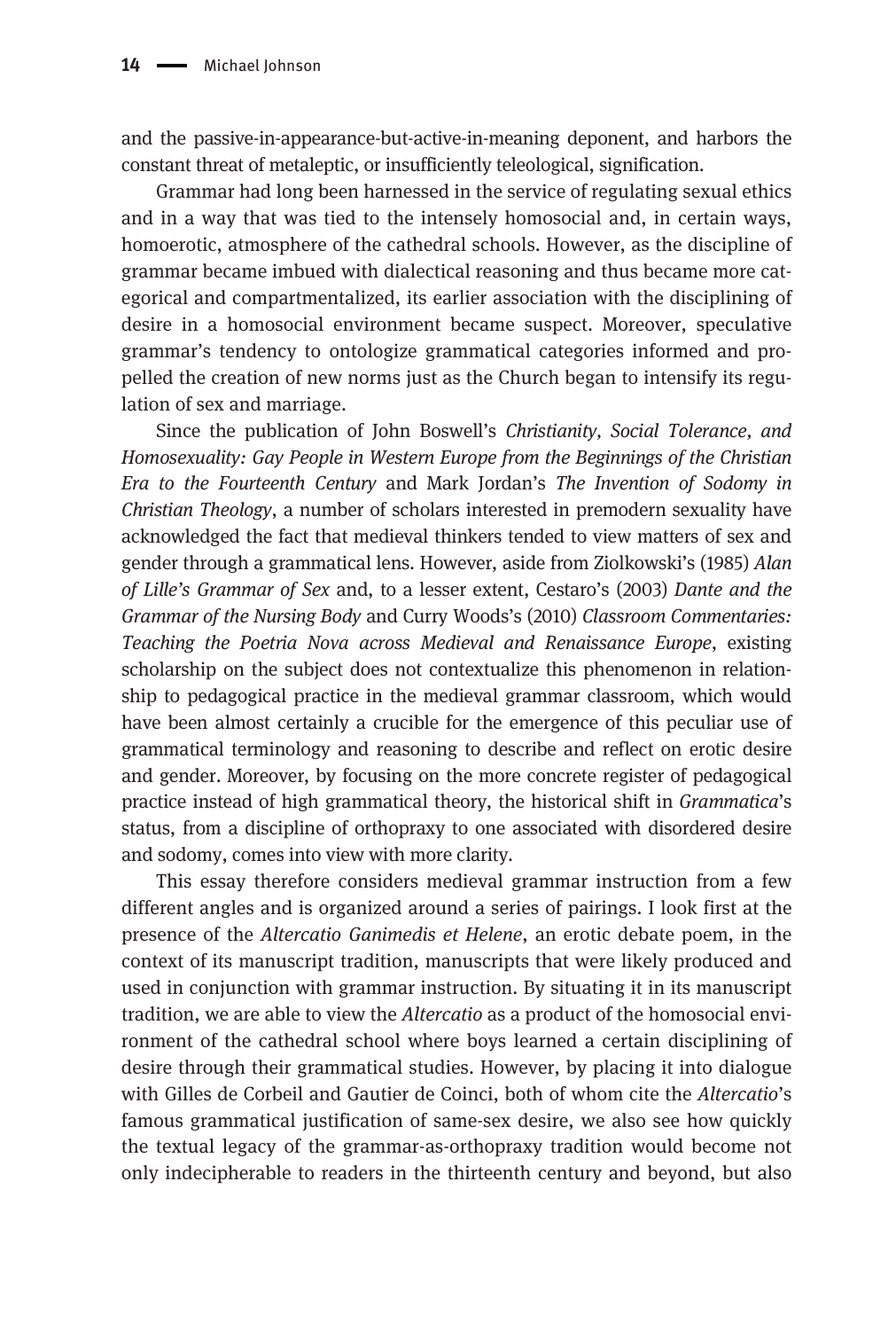and the passive-in-appearance-but-active-in-meaning deponent, and harbors the constant threat of metaleptic, or insufficiently teleological, signification.

Grammar had long been harnessed in the service of regulating sexual ethics and in a way that was tied to the intensely homosocial and, in certain ways, homoerotic, atmosphere of the cathedral schools. However, as the discipline of grammar became imbued with dialectical reasoning and thus became more categorical and compartmentalized, its earlier association with the disciplining of desire in a homosocial environment became suspect. Moreover, speculative grammar's tendency to ontologize grammatical categories informed and propelled the creation of new norms just as the Church began to intensify its regulation of sex and marriage.

Since the publication of John Boswell's Christianity, Social Tolerance, and Homosexuality: Gay People in Western Europe from the Beginnings of the Christian Era to the Fourteenth Century and Mark Jordan's The Invention of Sodomy in Christian Theology, a number of scholars interested in premodern sexuality have acknowledged the fact that medieval thinkers tended to view matters of sex and gender through a grammatical lens. However, aside from Ziolkowski's (1985) Alan of Lille's Grammar of Sex and, to a lesser extent, Cestaro's (2003) Dante and the Grammar of the Nursing Body and Curry Woods's (2010) Classroom Commentaries: Teaching the Poetria Nova across Medieval and Renaissance Europe, existing scholarship on the subject does not contextualize this phenomenon in relationship to pedagogical practice in the medieval grammar classroom, which would have been almost certainly a crucible for the emergence of this peculiar use of grammatical terminology and reasoning to describe and reflect on erotic desire and gender. Moreover, by focusing on the more concrete register of pedagogical practice instead of high grammatical theory, the historical shift in Grammatica's status, from a discipline of orthopraxy to one associated with disordered desire and sodomy, comes into view with more clarity.

This essay therefore considers medieval grammar instruction from a few different angles and is organized around a series of pairings. I look first at the presence of the Altercatio Ganimedis et Helene, an erotic debate poem, in the context of its manuscript tradition, manuscripts that were likely produced and used in conjunction with grammar instruction. By situating it in its manuscript tradition, we are able to view the Altercatio as a product of the homosocial environment of the cathedral school where boys learned a certain disciplining of desire through their grammatical studies. However, by placing it into dialogue with Gilles de Corbeil and Gautier de Coinci, both of whom cite the *Altercatio's* famous grammatical justification of same-sex desire, we also see how quickly the textual legacy of the grammar-as-orthopraxy tradition would become not only indecipherable to readers in the thirteenth century and beyond, but also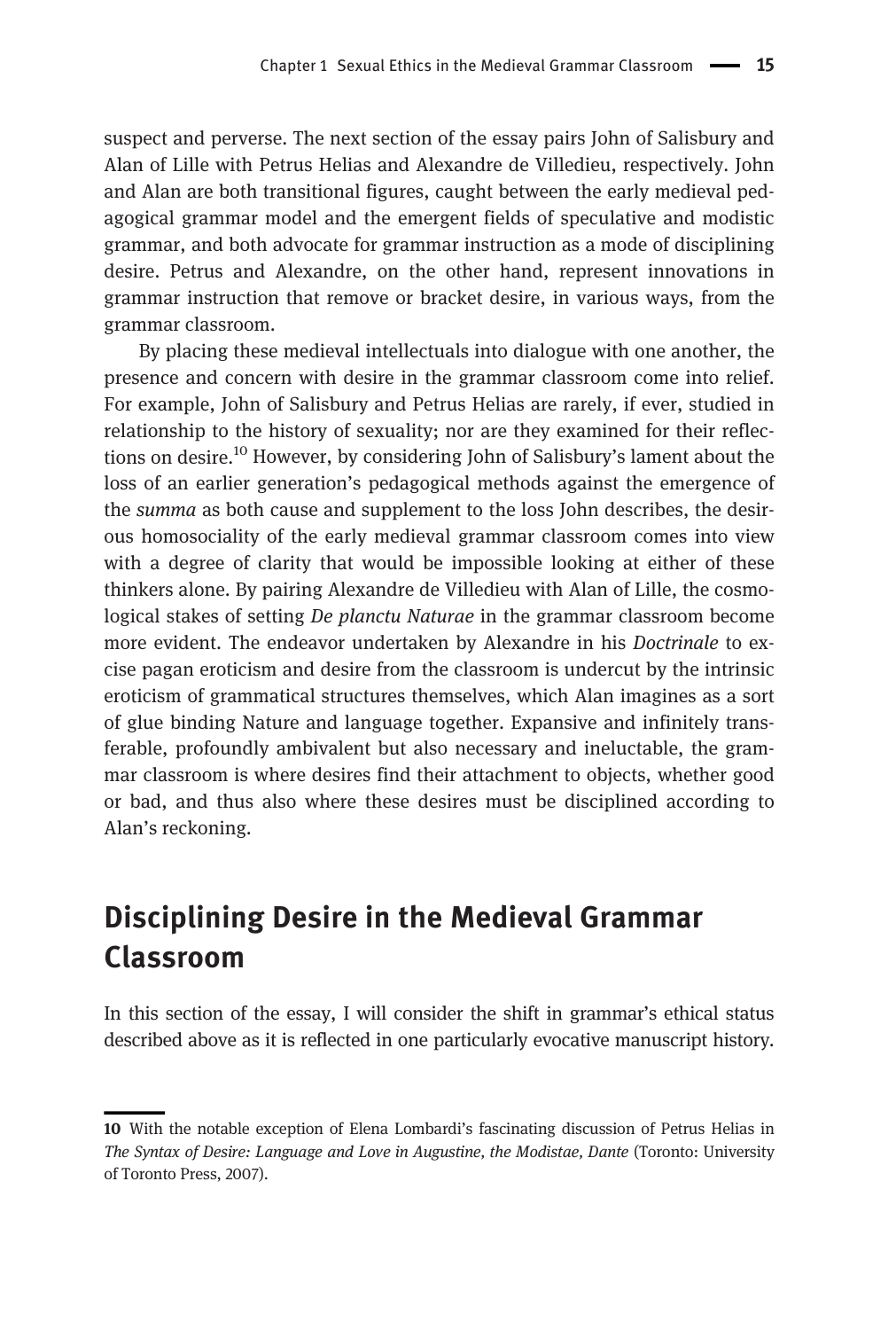suspect and perverse. The next section of the essay pairs John of Salisbury and Alan of Lille with Petrus Helias and Alexandre de Villedieu, respectively. John and Alan are both transitional figures, caught between the early medieval pedagogical grammar model and the emergent fields of speculative and modistic grammar, and both advocate for grammar instruction as a mode of disciplining desire. Petrus and Alexandre, on the other hand, represent innovations in grammar instruction that remove or bracket desire, in various ways, from the grammar classroom.

By placing these medieval intellectuals into dialogue with one another, the presence and concern with desire in the grammar classroom come into relief. For example, John of Salisbury and Petrus Helias are rarely, if ever, studied in relationship to the history of sexuality; nor are they examined for their reflections on desire.<sup>10</sup> However, by considering John of Salisbury's lament about the loss of an earlier generation's pedagogical methods against the emergence of the *summa* as both cause and supplement to the loss John describes, the desirous homosociality of the early medieval grammar classroom comes into view with a degree of clarity that would be impossible looking at either of these thinkers alone. By pairing Alexandre de Villedieu with Alan of Lille, the cosmological stakes of setting De planctu Naturae in the grammar classroom become more evident. The endeavor undertaken by Alexandre in his *Doctrinale* to excise pagan eroticism and desire from the classroom is undercut by the intrinsic eroticism of grammatical structures themselves, which Alan imagines as a sort of glue binding Nature and language together. Expansive and infinitely transferable, profoundly ambivalent but also necessary and ineluctable, the grammar classroom is where desires find their attachment to objects, whether good or bad, and thus also where these desires must be disciplined according to Alan's reckoning.

#### Disciplining Desire in the Medieval Grammar Classroom

In this section of the essay, I will consider the shift in grammar's ethical status described above as it is reflected in one particularly evocative manuscript history.

<sup>10</sup> With the notable exception of Elena Lombardi's fascinating discussion of Petrus Helias in The Syntax of Desire: Language and Love in Augustine, the Modistae, Dante (Toronto: University of Toronto Press, 2007).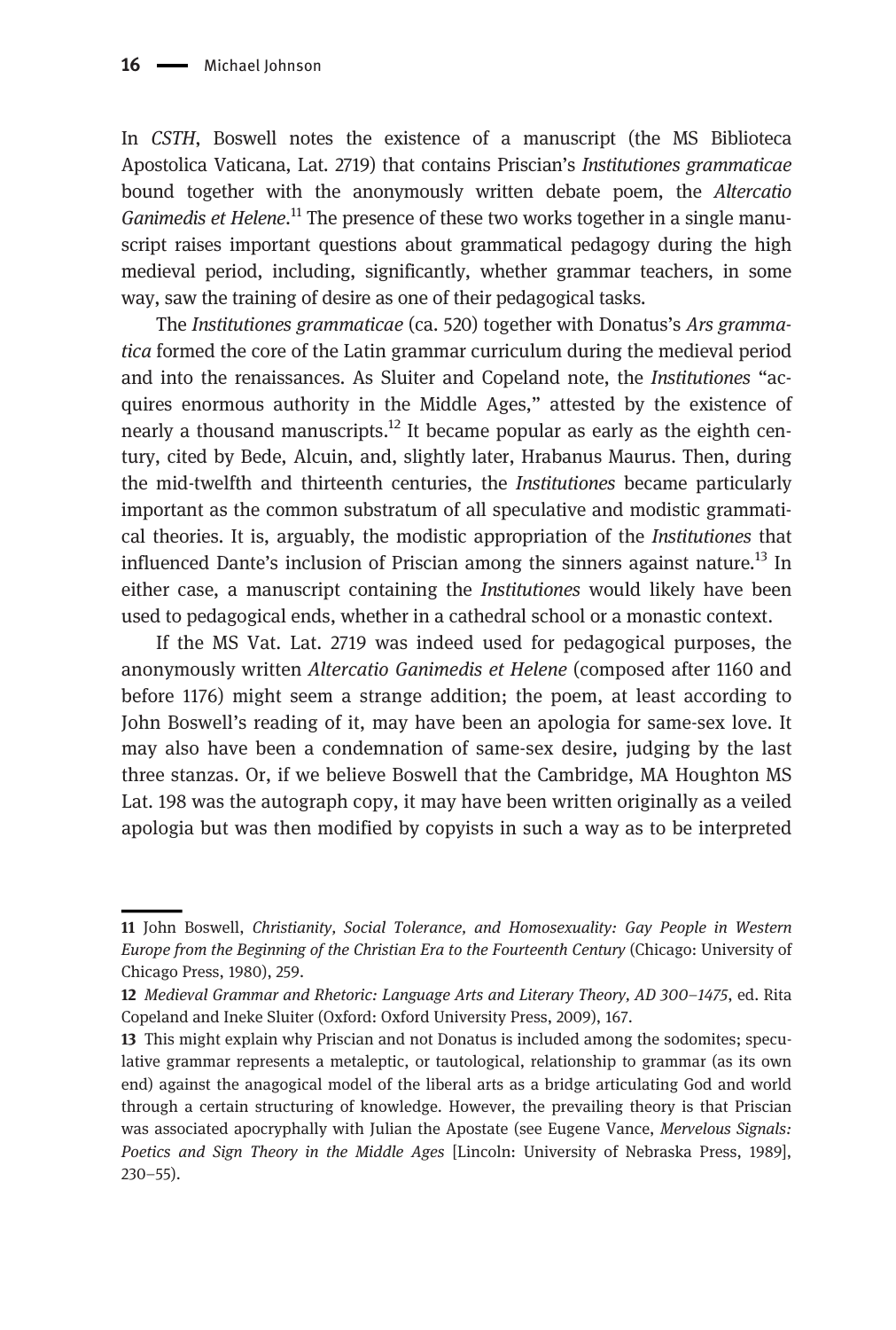In CSTH, Boswell notes the existence of a manuscript (the MS Biblioteca Apostolica Vaticana, Lat. 2719) that contains Priscian's Institutiones grammaticae bound together with the anonymously written debate poem, the Altercatio Ganimedis et Helene.<sup>11</sup> The presence of these two works together in a single manuscript raises important questions about grammatical pedagogy during the high medieval period, including, significantly, whether grammar teachers, in some way, saw the training of desire as one of their pedagogical tasks.

The Institutiones grammaticae (ca. 520) together with Donatus's Ars grammatica formed the core of the Latin grammar curriculum during the medieval period and into the renaissances. As Sluiter and Copeland note, the Institutiones "acquires enormous authority in the Middle Ages," attested by the existence of nearly a thousand manuscripts.<sup>12</sup> It became popular as early as the eighth century, cited by Bede, Alcuin, and, slightly later, Hrabanus Maurus. Then, during the mid-twelfth and thirteenth centuries, the Institutiones became particularly important as the common substratum of all speculative and modistic grammatical theories. It is, arguably, the modistic appropriation of the Institutiones that influenced Dante's inclusion of Priscian among the sinners against nature.<sup>13</sup> In either case, a manuscript containing the *Institutiones* would likely have been used to pedagogical ends, whether in a cathedral school or a monastic context.

If the MS Vat. Lat. 2719 was indeed used for pedagogical purposes, the anonymously written Altercatio Ganimedis et Helene (composed after 1160 and before 1176) might seem a strange addition; the poem, at least according to John Boswell's reading of it, may have been an apologia for same-sex love. It may also have been a condemnation of same-sex desire, judging by the last three stanzas. Or, if we believe Boswell that the Cambridge, MA Houghton MS Lat. 198 was the autograph copy, it may have been written originally as a veiled apologia but was then modified by copyists in such a way as to be interpreted

<sup>11</sup> John Boswell, Christianity, Social Tolerance, and Homosexuality: Gay People in Western Europe from the Beginning of the Christian Era to the Fourteenth Century (Chicago: University of Chicago Press, 1980), 259.

<sup>12</sup> Medieval Grammar and Rhetoric: Language Arts and Literary Theory, AD 300–1475, ed. Rita Copeland and Ineke Sluiter (Oxford: Oxford University Press, 2009), 167.

<sup>13</sup> This might explain why Priscian and not Donatus is included among the sodomites; speculative grammar represents a metaleptic, or tautological, relationship to grammar (as its own end) against the anagogical model of the liberal arts as a bridge articulating God and world through a certain structuring of knowledge. However, the prevailing theory is that Priscian was associated apocryphally with Julian the Apostate (see Eugene Vance, Mervelous Signals: Poetics and Sign Theory in the Middle Ages [Lincoln: University of Nebraska Press, 1989], 230–55).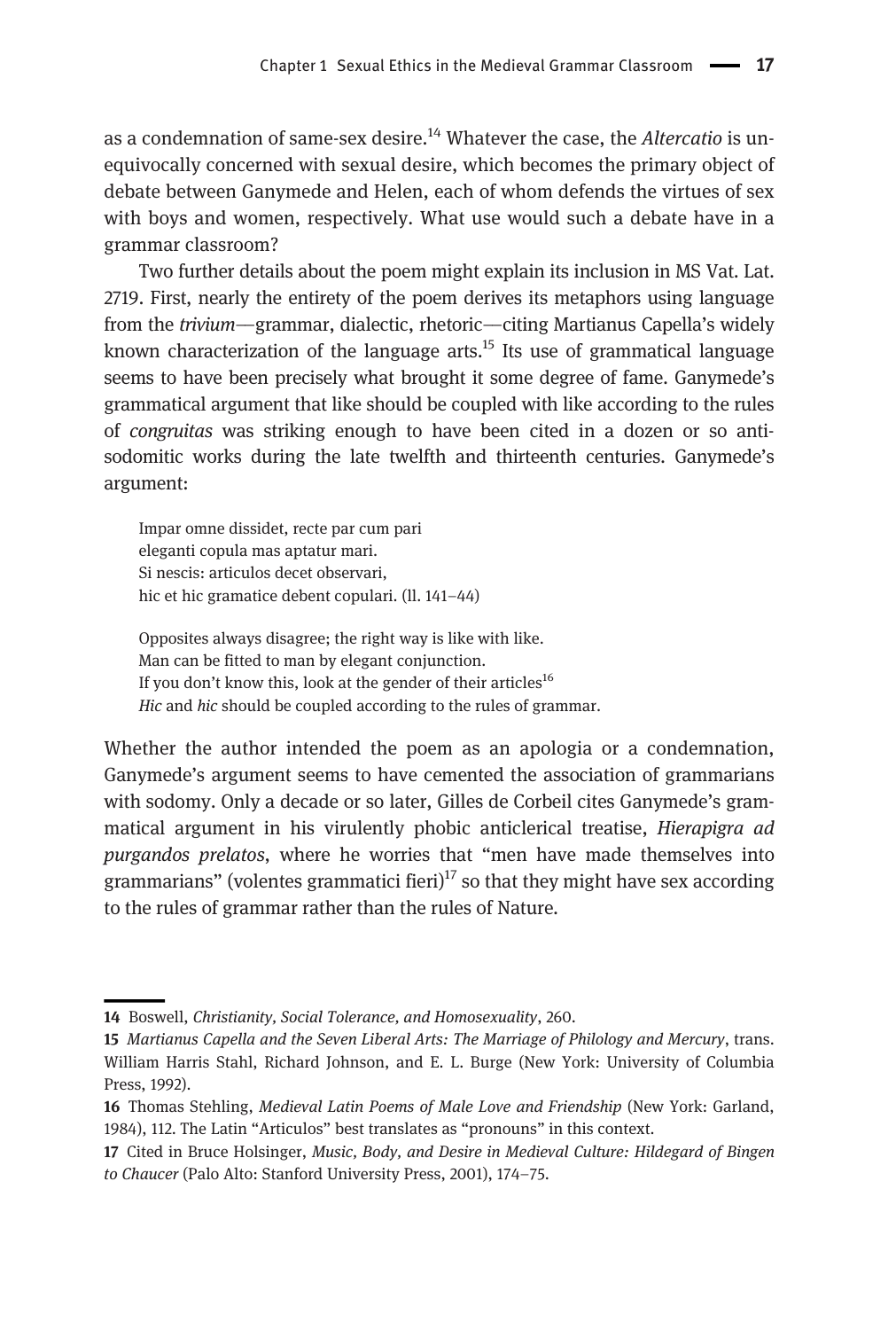as a condemnation of same-sex desire.<sup>14</sup> Whatever the case, the Altercatio is unequivocally concerned with sexual desire, which becomes the primary object of debate between Ganymede and Helen, each of whom defends the virtues of sex with boys and women, respectively. What use would such a debate have in a grammar classroom?

Two further details about the poem might explain its inclusion in MS Vat. Lat. 2719. First, nearly the entirety of the poem derives its metaphors using language from the trivium––grammar, dialectic, rhetoric––citing Martianus Capella's widely known characterization of the language arts.<sup>15</sup> Its use of grammatical language seems to have been precisely what brought it some degree of fame. Ganymede's grammatical argument that like should be coupled with like according to the rules of congruitas was striking enough to have been cited in a dozen or so antisodomitic works during the late twelfth and thirteenth centuries. Ganymede's argument:

Impar omne dissidet, recte par cum pari eleganti copula mas aptatur mari. Si nescis: articulos decet observari, hic et hic gramatice debent copulari. (ll. 141–44)

Opposites always disagree; the right way is like with like. Man can be fitted to man by elegant conjunction. If you don't know this, look at the gender of their articles<sup>16</sup> Hic and hic should be coupled according to the rules of grammar.

Whether the author intended the poem as an apologia or a condemnation, Ganymede's argument seems to have cemented the association of grammarians with sodomy. Only a decade or so later, Gilles de Corbeil cites Ganymede's grammatical argument in his virulently phobic anticlerical treatise, Hierapigra ad purgandos prelatos, where he worries that "men have made themselves into grammarians" (volentes grammatici fieri)<sup>17</sup> so that they might have sex according to the rules of grammar rather than the rules of Nature.

<sup>14</sup> Boswell, Christianity, Social Tolerance, and Homosexuality, 260.

<sup>15</sup> Martianus Capella and the Seven Liberal Arts: The Marriage of Philology and Mercury, trans. William Harris Stahl, Richard Johnson, and E. L. Burge (New York: University of Columbia Press, 1992).

<sup>16</sup> Thomas Stehling, Medieval Latin Poems of Male Love and Friendship (New York: Garland, 1984), 112. The Latin "Articulos" best translates as "pronouns" in this context.

<sup>17</sup> Cited in Bruce Holsinger, Music, Body, and Desire in Medieval Culture: Hildegard of Bingen to Chaucer (Palo Alto: Stanford University Press, 2001), 174–75.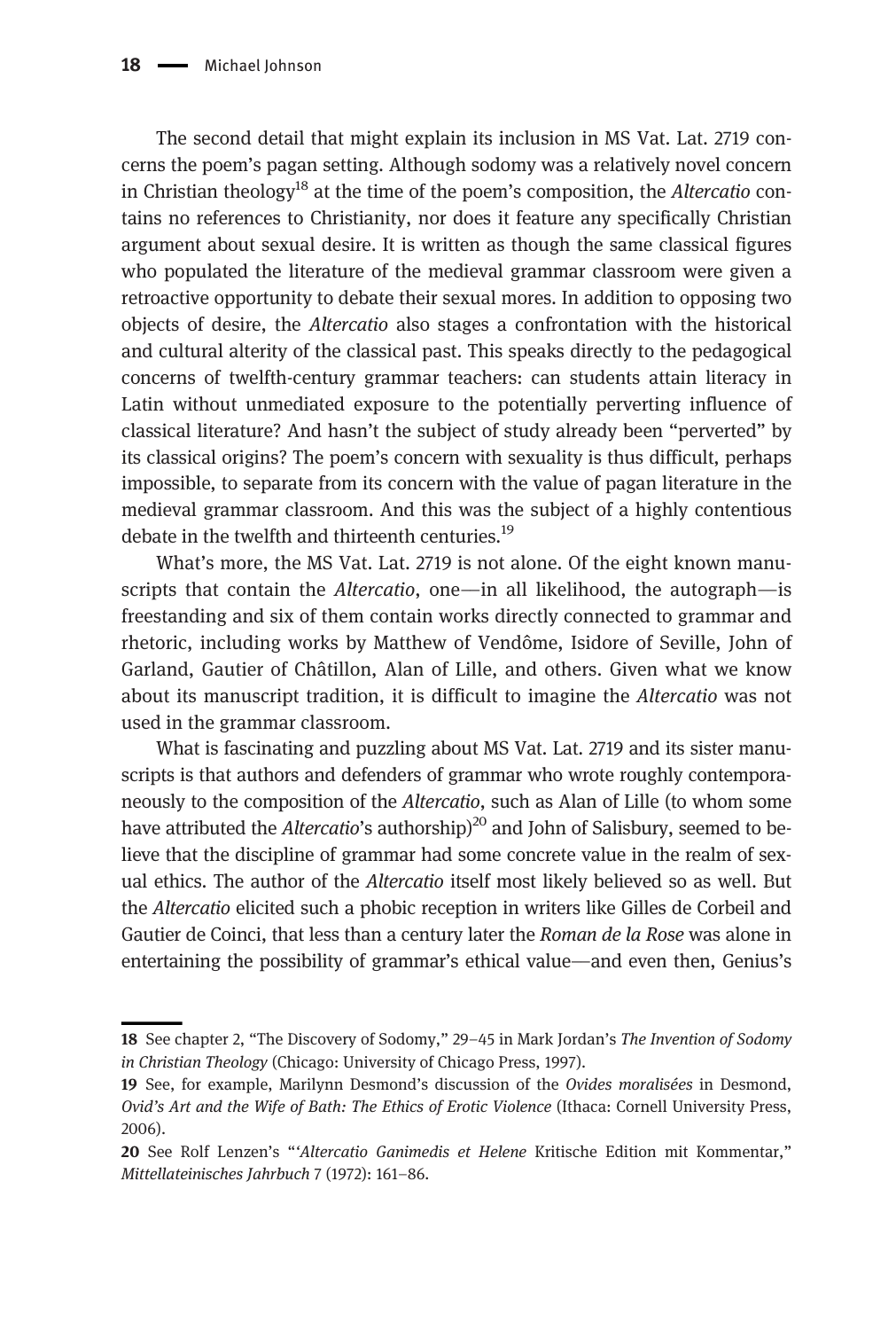The second detail that might explain its inclusion in MS Vat. Lat. 2719 concerns the poem's pagan setting. Although sodomy was a relatively novel concern in Christian theology<sup>18</sup> at the time of the poem's composition, the Altercatio contains no references to Christianity, nor does it feature any specifically Christian argument about sexual desire. It is written as though the same classical figures who populated the literature of the medieval grammar classroom were given a retroactive opportunity to debate their sexual mores. In addition to opposing two objects of desire, the Altercatio also stages a confrontation with the historical and cultural alterity of the classical past. This speaks directly to the pedagogical concerns of twelfth-century grammar teachers: can students attain literacy in Latin without unmediated exposure to the potentially perverting influence of classical literature? And hasn't the subject of study already been "perverted" by its classical origins? The poem's concern with sexuality is thus difficult, perhaps impossible, to separate from its concern with the value of pagan literature in the medieval grammar classroom. And this was the subject of a highly contentious debate in the twelfth and thirteenth centuries.<sup>19</sup>

What's more, the MS Vat. Lat. 2719 is not alone. Of the eight known manuscripts that contain the Altercatio, one—in all likelihood, the autograph—is freestanding and six of them contain works directly connected to grammar and rhetoric, including works by Matthew of Vendôme, Isidore of Seville, John of Garland, Gautier of Châtillon, Alan of Lille, and others. Given what we know about its manuscript tradition, it is difficult to imagine the Altercatio was not used in the grammar classroom.

What is fascinating and puzzling about MS Vat. Lat. 2719 and its sister manuscripts is that authors and defenders of grammar who wrote roughly contemporaneously to the composition of the Altercatio, such as Alan of Lille (to whom some have attributed the Altercatio's authorship)<sup>20</sup> and John of Salisbury, seemed to believe that the discipline of grammar had some concrete value in the realm of sexual ethics. The author of the Altercatio itself most likely believed so as well. But the Altercatio elicited such a phobic reception in writers like Gilles de Corbeil and Gautier de Coinci, that less than a century later the Roman de la Rose was alone in entertaining the possibility of grammar's ethical value––and even then, Genius's

<sup>18</sup> See chapter 2, "The Discovery of Sodomy," 29–45 in Mark Jordan's The Invention of Sodomy in Christian Theology (Chicago: University of Chicago Press, 1997).

<sup>19</sup> See, for example, Marilynn Desmond's discussion of the Ovides moralisées in Desmond, Ovid's Art and the Wife of Bath: The Ethics of Erotic Violence (Ithaca: Cornell University Press, 2006).

<sup>20</sup> See Rolf Lenzen's "'Altercatio Ganimedis et Helene Kritische Edition mit Kommentar," Mittellateinisches Jahrbuch 7 (1972): 161–86.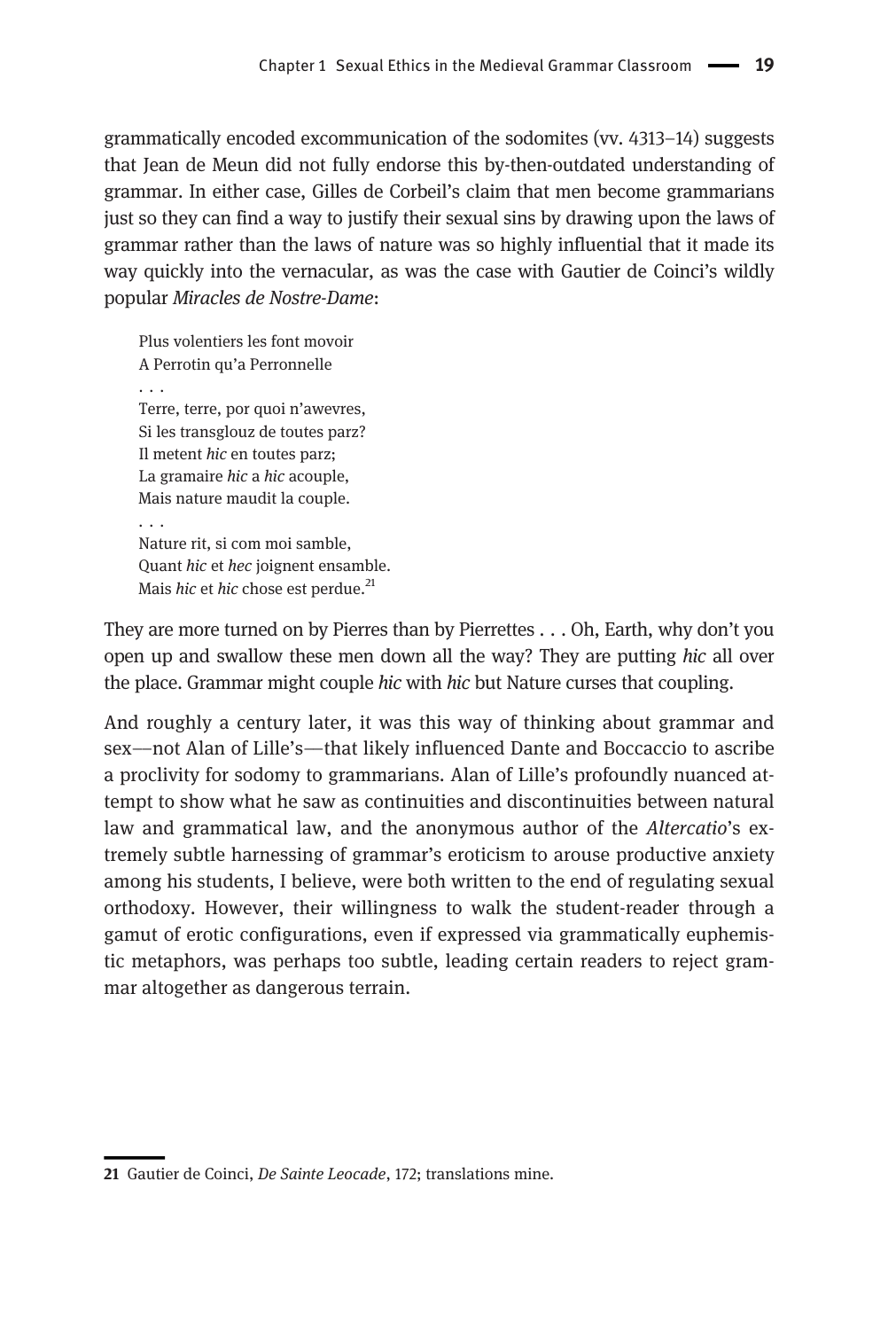grammatically encoded excommunication of the sodomites (vv. 4313–14) suggests that Jean de Meun did not fully endorse this by-then-outdated understanding of grammar. In either case, Gilles de Corbeil's claim that men become grammarians just so they can find a way to justify their sexual sins by drawing upon the laws of grammar rather than the laws of nature was so highly influential that it made its way quickly into the vernacular, as was the case with Gautier de Coinci's wildly popular Miracles de Nostre-Dame:

Plus volentiers les font movoir A Perrotin qu'a Perronnelle ... Terre, terre, por quoi n'awevres, Si les transglouz de toutes parz? Il metent hic en toutes parz; La gramaire hic a hic acouple, Mais nature maudit la couple. ... Nature rit, si com moi samble, Quant hic et hec joignent ensamble. Mais hic et hic chose est perdue. $^{21}$ 

They are more turned on by Pierres than by Pierrettes . . . Oh, Earth, why don't you open up and swallow these men down all the way? They are putting hic all over the place. Grammar might couple hic with hic but Nature curses that coupling.

And roughly a century later, it was this way of thinking about grammar and sex––not Alan of Lille's––that likely influenced Dante and Boccaccio to ascribe a proclivity for sodomy to grammarians. Alan of Lille's profoundly nuanced attempt to show what he saw as continuities and discontinuities between natural law and grammatical law, and the anonymous author of the *Altercatio*'s extremely subtle harnessing of grammar's eroticism to arouse productive anxiety among his students, I believe, were both written to the end of regulating sexual orthodoxy. However, their willingness to walk the student-reader through a gamut of erotic configurations, even if expressed via grammatically euphemistic metaphors, was perhaps too subtle, leading certain readers to reject grammar altogether as dangerous terrain.

<sup>21</sup> Gautier de Coinci, De Sainte Leocade, 172; translations mine.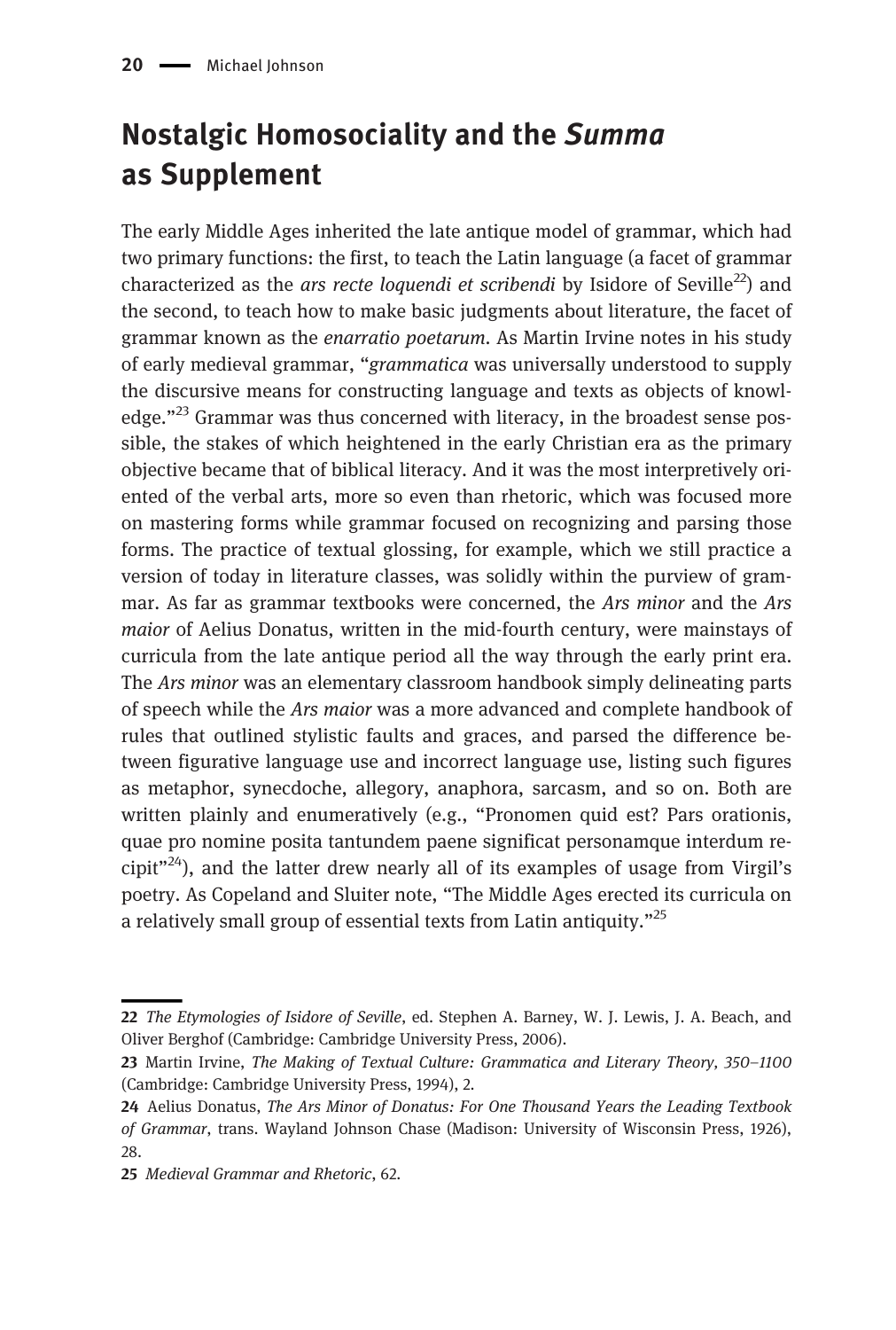# Nostalgic Homosociality and the Summa as Supplement

The early Middle Ages inherited the late antique model of grammar, which had two primary functions: the first, to teach the Latin language (a facet of grammar characterized as the ars recte loquendi et scribendi by Isidore of Seville<sup>22</sup>) and the second, to teach how to make basic judgments about literature, the facet of grammar known as the enarratio poetarum. As Martin Irvine notes in his study of early medieval grammar, "grammatica was universally understood to supply the discursive means for constructing language and texts as objects of knowledge. $123$  Grammar was thus concerned with literacy, in the broadest sense possible, the stakes of which heightened in the early Christian era as the primary objective became that of biblical literacy. And it was the most interpretively oriented of the verbal arts, more so even than rhetoric, which was focused more on mastering forms while grammar focused on recognizing and parsing those forms. The practice of textual glossing, for example, which we still practice a version of today in literature classes, was solidly within the purview of grammar. As far as grammar textbooks were concerned, the Ars minor and the Ars maior of Aelius Donatus, written in the mid-fourth century, were mainstays of curricula from the late antique period all the way through the early print era. The Ars minor was an elementary classroom handbook simply delineating parts of speech while the Ars maior was a more advanced and complete handbook of rules that outlined stylistic faults and graces, and parsed the difference between figurative language use and incorrect language use, listing such figures as metaphor, synecdoche, allegory, anaphora, sarcasm, and so on. Both are written plainly and enumeratively (e.g., "Pronomen quid est? Pars orationis, quae pro nomine posita tantundem paene significat personamque interdum recipit $v^{24}$ ), and the latter drew nearly all of its examples of usage from Virgil's poetry. As Copeland and Sluiter note, "The Middle Ages erected its curricula on a relatively small group of essential texts from Latin antiquity."<sup>25</sup>

<sup>22</sup> The Etymologies of Isidore of Seville, ed. Stephen A. Barney, W. J. Lewis, J. A. Beach, and Oliver Berghof (Cambridge: Cambridge University Press, 2006).

<sup>23</sup> Martin Irvine, The Making of Textual Culture: Grammatica and Literary Theory, 350-1100 (Cambridge: Cambridge University Press, 1994), 2.

<sup>24</sup> Aelius Donatus, The Ars Minor of Donatus: For One Thousand Years the Leading Textbook of Grammar, trans. Wayland Johnson Chase (Madison: University of Wisconsin Press, 1926), 28.

<sup>25</sup> Medieval Grammar and Rhetoric, 62.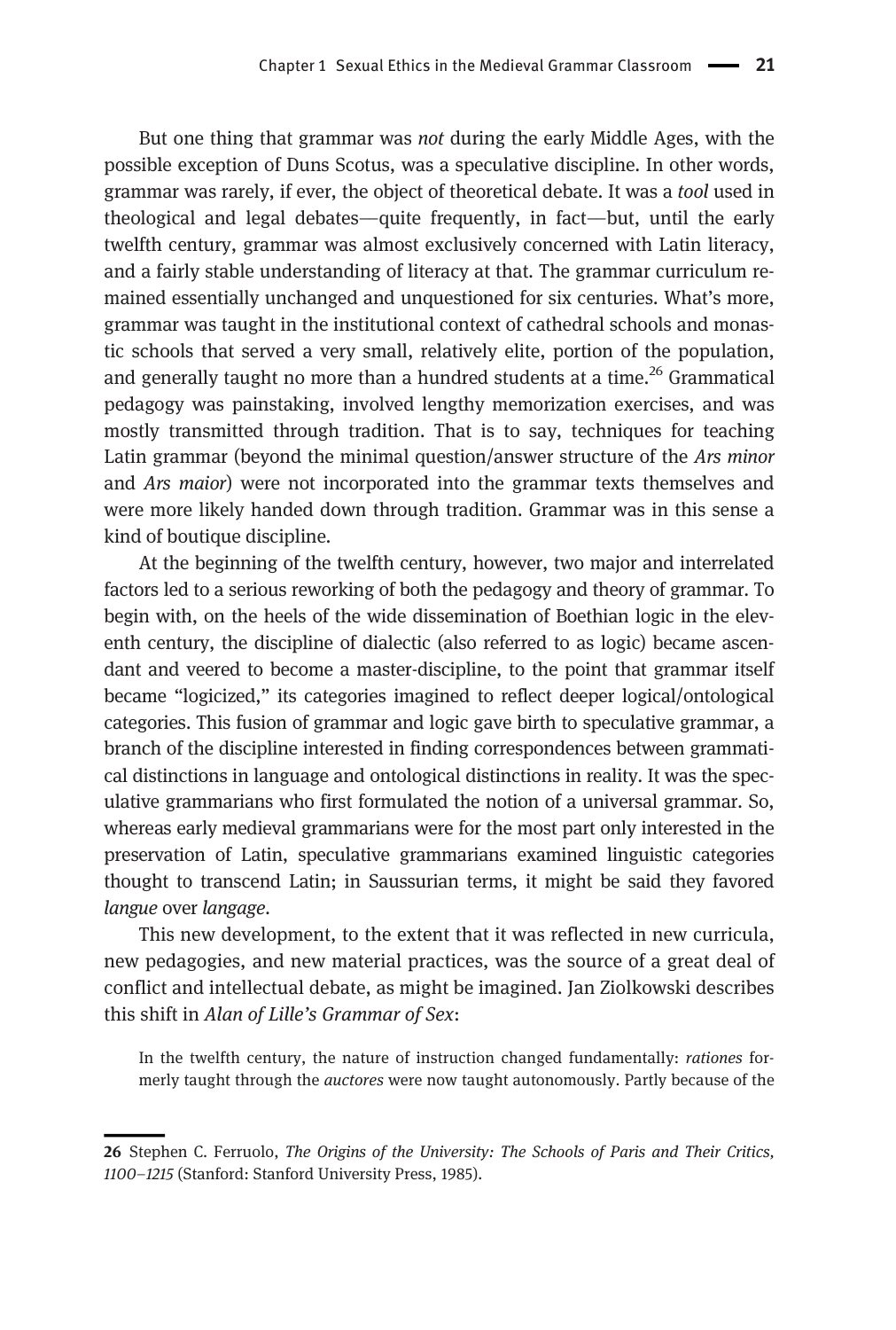But one thing that grammar was not during the early Middle Ages, with the possible exception of Duns Scotus, was a speculative discipline. In other words, grammar was rarely, if ever, the object of theoretical debate. It was a tool used in theological and legal debates––quite frequently, in fact––but, until the early twelfth century, grammar was almost exclusively concerned with Latin literacy, and a fairly stable understanding of literacy at that. The grammar curriculum remained essentially unchanged and unquestioned for six centuries. What's more, grammar was taught in the institutional context of cathedral schools and monastic schools that served a very small, relatively elite, portion of the population, and generally taught no more than a hundred students at a time.<sup>26</sup> Grammatical pedagogy was painstaking, involved lengthy memorization exercises, and was mostly transmitted through tradition. That is to say, techniques for teaching Latin grammar (beyond the minimal question/answer structure of the Ars minor and Ars maior) were not incorporated into the grammar texts themselves and were more likely handed down through tradition. Grammar was in this sense a kind of boutique discipline.

At the beginning of the twelfth century, however, two major and interrelated factors led to a serious reworking of both the pedagogy and theory of grammar. To begin with, on the heels of the wide dissemination of Boethian logic in the eleventh century, the discipline of dialectic (also referred to as logic) became ascendant and veered to become a master-discipline, to the point that grammar itself became "logicized," its categories imagined to reflect deeper logical/ontological categories. This fusion of grammar and logic gave birth to speculative grammar, a branch of the discipline interested in finding correspondences between grammatical distinctions in language and ontological distinctions in reality. It was the speculative grammarians who first formulated the notion of a universal grammar. So, whereas early medieval grammarians were for the most part only interested in the preservation of Latin, speculative grammarians examined linguistic categories thought to transcend Latin; in Saussurian terms, it might be said they favored langue over langage.

This new development, to the extent that it was reflected in new curricula, new pedagogies, and new material practices, was the source of a great deal of conflict and intellectual debate, as might be imagined. Jan Ziolkowski describes this shift in Alan of Lille's Grammar of Sex:

In the twelfth century, the nature of instruction changed fundamentally: rationes formerly taught through the auctores were now taught autonomously. Partly because of the

<sup>26</sup> Stephen C. Ferruolo, The Origins of the University: The Schools of Paris and Their Critics, 1100–1215 (Stanford: Stanford University Press, 1985).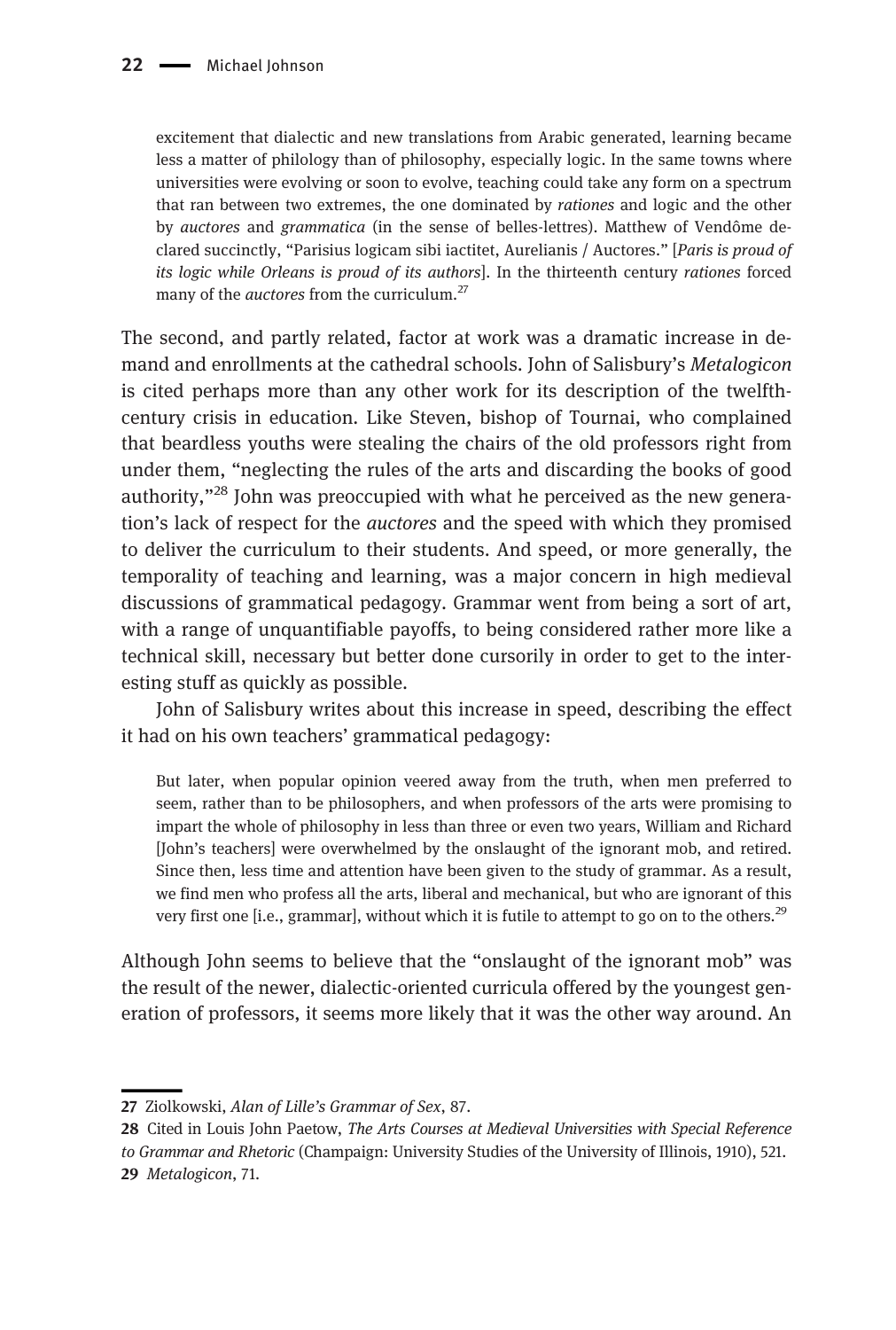excitement that dialectic and new translations from Arabic generated, learning became less a matter of philology than of philosophy, especially logic. In the same towns where universities were evolving or soon to evolve, teaching could take any form on a spectrum that ran between two extremes, the one dominated by rationes and logic and the other by auctores and grammatica (in the sense of belles-lettres). Matthew of Vendôme declared succinctly, "Parisius logicam sibi iactitet, Aurelianis / Auctores." [Paris is proud of its logic while Orleans is proud of its authors]. In the thirteenth century rationes forced many of the *auctores* from the curriculum.<sup>27</sup>

The second, and partly related, factor at work was a dramatic increase in demand and enrollments at the cathedral schools. John of Salisbury's Metalogicon is cited perhaps more than any other work for its description of the twelfthcentury crisis in education. Like Steven, bishop of Tournai, who complained that beardless youths were stealing the chairs of the old professors right from under them, "neglecting the rules of the arts and discarding the books of good authority,"<sup>28</sup> John was preoccupied with what he perceived as the new generation's lack of respect for the auctores and the speed with which they promised to deliver the curriculum to their students. And speed, or more generally, the temporality of teaching and learning, was a major concern in high medieval discussions of grammatical pedagogy. Grammar went from being a sort of art, with a range of unquantifiable payoffs, to being considered rather more like a technical skill, necessary but better done cursorily in order to get to the interesting stuff as quickly as possible.

John of Salisbury writes about this increase in speed, describing the effect it had on his own teachers' grammatical pedagogy:

But later, when popular opinion veered away from the truth, when men preferred to seem, rather than to be philosophers, and when professors of the arts were promising to impart the whole of philosophy in less than three or even two years, William and Richard [John's teachers] were overwhelmed by the onslaught of the ignorant mob, and retired. Since then, less time and attention have been given to the study of grammar. As a result, we find men who profess all the arts, liberal and mechanical, but who are ignorant of this very first one  $[i.e., grammar]$ , without which it is futile to attempt to go on to the others.<sup>29</sup>

Although John seems to believe that the "onslaught of the ignorant mob" was the result of the newer, dialectic-oriented curricula offered by the youngest generation of professors, it seems more likely that it was the other way around. An

<sup>27</sup> Ziolkowski, Alan of Lille's Grammar of Sex, 87.

<sup>28</sup> Cited in Louis John Paetow, The Arts Courses at Medieval Universities with Special Reference to Grammar and Rhetoric (Champaign: University Studies of the University of Illinois, 1910), 521. 29 Metalogicon, 71.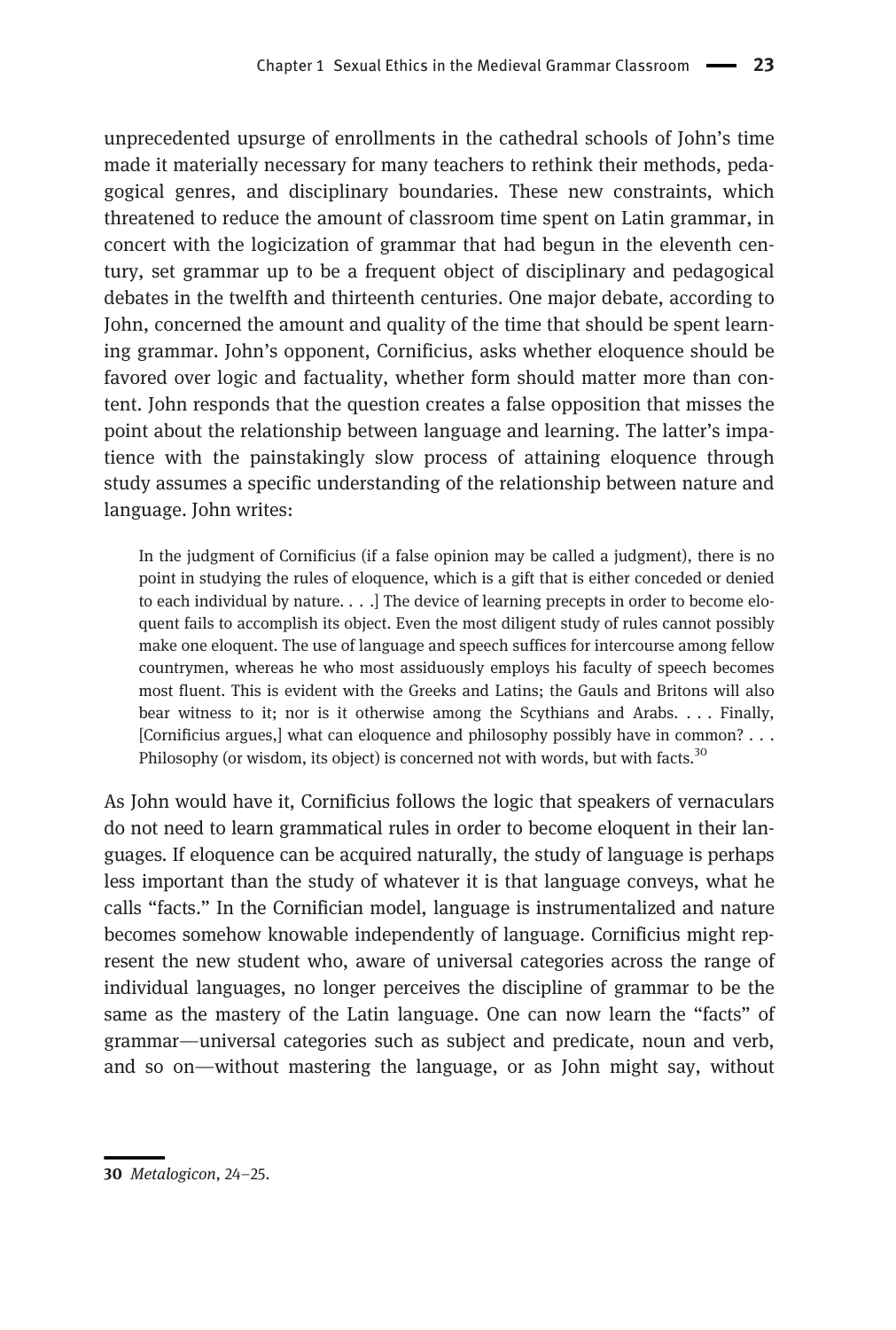unprecedented upsurge of enrollments in the cathedral schools of John's time made it materially necessary for many teachers to rethink their methods, pedagogical genres, and disciplinary boundaries. These new constraints, which threatened to reduce the amount of classroom time spent on Latin grammar, in concert with the logicization of grammar that had begun in the eleventh century, set grammar up to be a frequent object of disciplinary and pedagogical debates in the twelfth and thirteenth centuries. One major debate, according to John, concerned the amount and quality of the time that should be spent learning grammar. John's opponent, Cornificius, asks whether eloquence should be favored over logic and factuality, whether form should matter more than content. John responds that the question creates a false opposition that misses the point about the relationship between language and learning. The latter's impatience with the painstakingly slow process of attaining eloquence through study assumes a specific understanding of the relationship between nature and language. John writes:

In the judgment of Cornificius (if a false opinion may be called a judgment), there is no point in studying the rules of eloquence, which is a gift that is either conceded or denied to each individual by nature. . . .] The device of learning precepts in order to become eloquent fails to accomplish its object. Even the most diligent study of rules cannot possibly make one eloquent. The use of language and speech suffices for intercourse among fellow countrymen, whereas he who most assiduously employs his faculty of speech becomes most fluent. This is evident with the Greeks and Latins; the Gauls and Britons will also bear witness to it; nor is it otherwise among the Scythians and Arabs. . . . Finally, [Cornificius argues,] what can eloquence and philosophy possibly have in common? . . . Philosophy (or wisdom, its object) is concerned not with words, but with facts.<sup>30</sup>

As John would have it, Cornificius follows the logic that speakers of vernaculars do not need to learn grammatical rules in order to become eloquent in their languages. If eloquence can be acquired naturally, the study of language is perhaps less important than the study of whatever it is that language conveys, what he calls "facts." In the Cornifician model, language is instrumentalized and nature becomes somehow knowable independently of language. Cornificius might represent the new student who, aware of universal categories across the range of individual languages, no longer perceives the discipline of grammar to be the same as the mastery of the Latin language. One can now learn the "facts" of grammar––universal categories such as subject and predicate, noun and verb, and so on––without mastering the language, or as John might say, without

<sup>30</sup> Metalogicon, 24–25.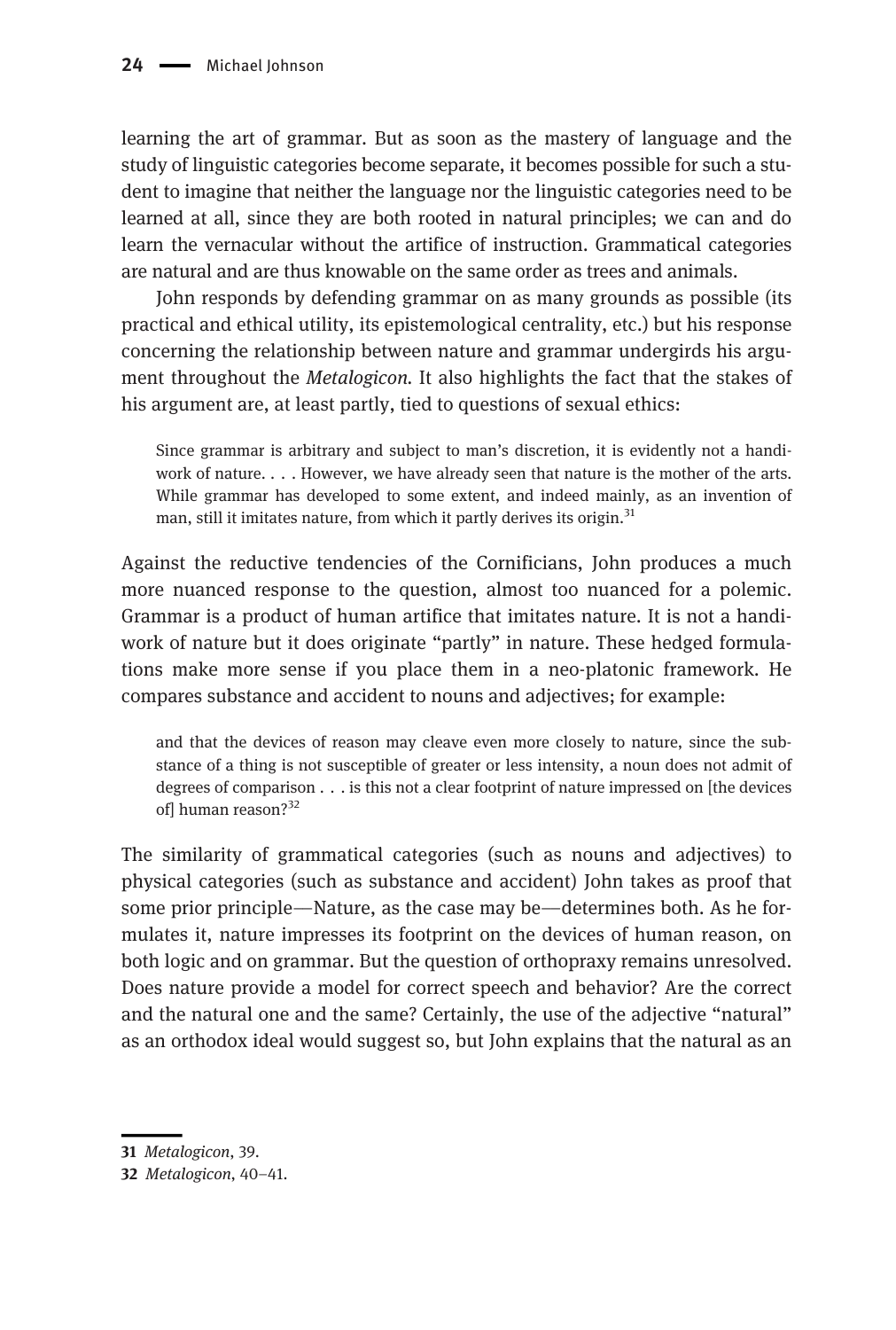learning the art of grammar. But as soon as the mastery of language and the study of linguistic categories become separate, it becomes possible for such a student to imagine that neither the language nor the linguistic categories need to be learned at all, since they are both rooted in natural principles; we can and do learn the vernacular without the artifice of instruction. Grammatical categories are natural and are thus knowable on the same order as trees and animals.

John responds by defending grammar on as many grounds as possible (its practical and ethical utility, its epistemological centrality, etc.) but his response concerning the relationship between nature and grammar undergirds his argument throughout the *Metalogicon*. It also highlights the fact that the stakes of his argument are, at least partly, tied to questions of sexual ethics:

Since grammar is arbitrary and subject to man's discretion, it is evidently not a handiwork of nature. . . . However, we have already seen that nature is the mother of the arts. While grammar has developed to some extent, and indeed mainly, as an invention of man, still it imitates nature, from which it partly derives its origin.<sup>31</sup>

Against the reductive tendencies of the Cornificians, John produces a much more nuanced response to the question, almost too nuanced for a polemic. Grammar is a product of human artifice that imitates nature. It is not a handiwork of nature but it does originate "partly" in nature. These hedged formulations make more sense if you place them in a neo-platonic framework. He compares substance and accident to nouns and adjectives; for example:

and that the devices of reason may cleave even more closely to nature, since the substance of a thing is not susceptible of greater or less intensity, a noun does not admit of degrees of comparison . . . is this not a clear footprint of nature impressed on [the devices of] human reason?<sup>32</sup>

The similarity of grammatical categories (such as nouns and adjectives) to physical categories (such as substance and accident) John takes as proof that some prior principle—Nature, as the case may be—determines both. As he formulates it, nature impresses its footprint on the devices of human reason, on both logic and on grammar. But the question of orthopraxy remains unresolved. Does nature provide a model for correct speech and behavior? Are the correct and the natural one and the same? Certainly, the use of the adjective "natural" as an orthodox ideal would suggest so, but John explains that the natural as an

<sup>31</sup> Metalogicon, 39.

<sup>32</sup> Metalogicon, 40–41.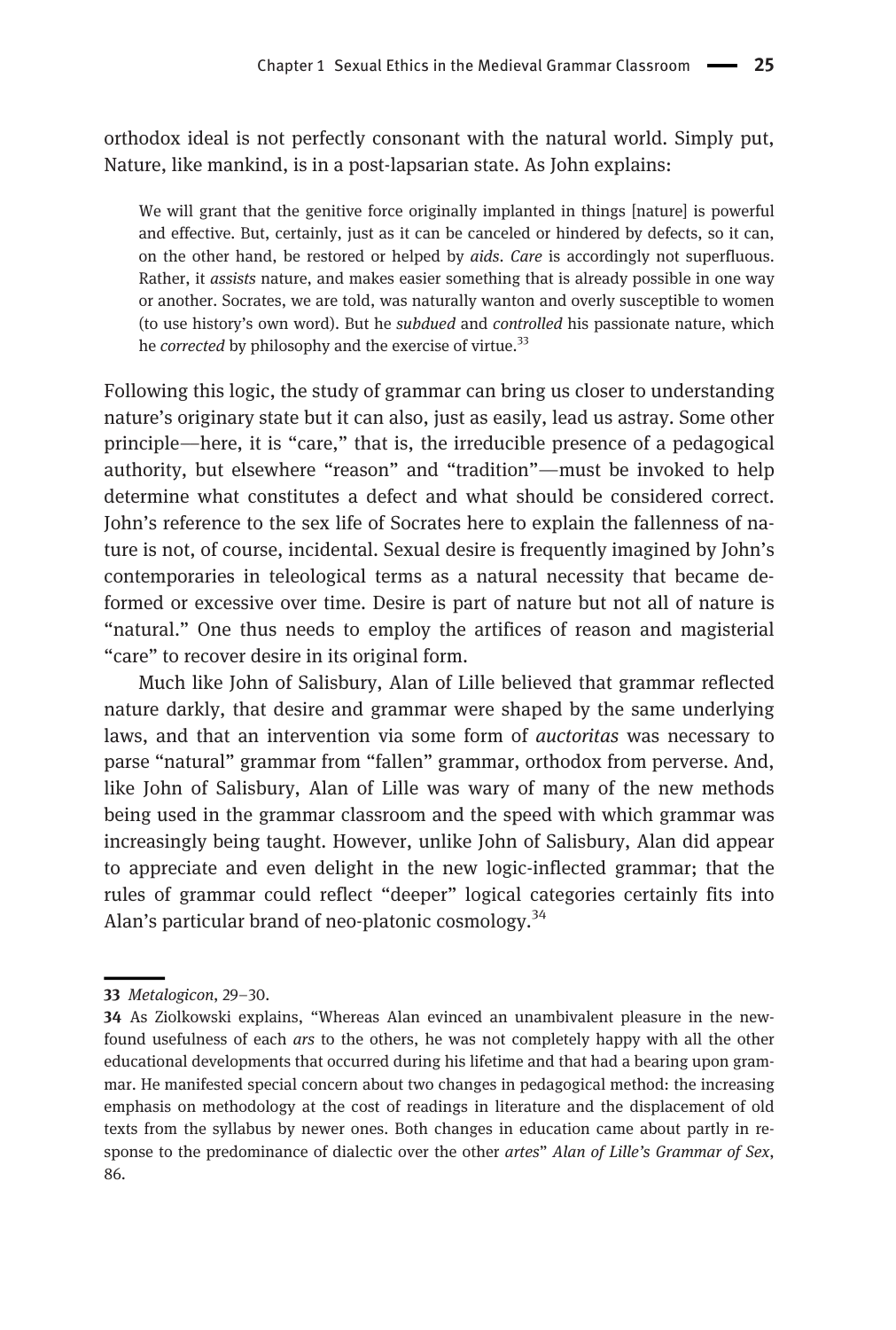orthodox ideal is not perfectly consonant with the natural world. Simply put, Nature, like mankind, is in a post-lapsarian state. As John explains:

We will grant that the genitive force originally implanted in things [nature] is powerful and effective. But, certainly, just as it can be canceled or hindered by defects, so it can, on the other hand, be restored or helped by aids. Care is accordingly not superfluous. Rather, it assists nature, and makes easier something that is already possible in one way or another. Socrates, we are told, was naturally wanton and overly susceptible to women (to use history's own word). But he subdued and controlled his passionate nature, which he *corrected* by philosophy and the exercise of virtue.<sup>33</sup>

Following this logic, the study of grammar can bring us closer to understanding nature's originary state but it can also, just as easily, lead us astray. Some other principle––here, it is "care," that is, the irreducible presence of a pedagogical authority, but elsewhere "reason" and "tradition"––must be invoked to help determine what constitutes a defect and what should be considered correct. John's reference to the sex life of Socrates here to explain the fallenness of nature is not, of course, incidental. Sexual desire is frequently imagined by John's contemporaries in teleological terms as a natural necessity that became deformed or excessive over time. Desire is part of nature but not all of nature is "natural." One thus needs to employ the artifices of reason and magisterial "care" to recover desire in its original form.

Much like John of Salisbury, Alan of Lille believed that grammar reflected nature darkly, that desire and grammar were shaped by the same underlying laws, and that an intervention via some form of auctoritas was necessary to parse "natural" grammar from "fallen" grammar, orthodox from perverse. And, like John of Salisbury, Alan of Lille was wary of many of the new methods being used in the grammar classroom and the speed with which grammar was increasingly being taught. However, unlike John of Salisbury, Alan did appear to appreciate and even delight in the new logic-inflected grammar; that the rules of grammar could reflect "deeper" logical categories certainly fits into Alan's particular brand of neo-platonic cosmology.<sup>34</sup>

<sup>33</sup> Metalogicon, 29–30.

<sup>34</sup> As Ziolkowski explains, "Whereas Alan evinced an unambivalent pleasure in the newfound usefulness of each ars to the others, he was not completely happy with all the other educational developments that occurred during his lifetime and that had a bearing upon grammar. He manifested special concern about two changes in pedagogical method: the increasing emphasis on methodology at the cost of readings in literature and the displacement of old texts from the syllabus by newer ones. Both changes in education came about partly in response to the predominance of dialectic over the other artes" Alan of Lille's Grammar of Sex, 86.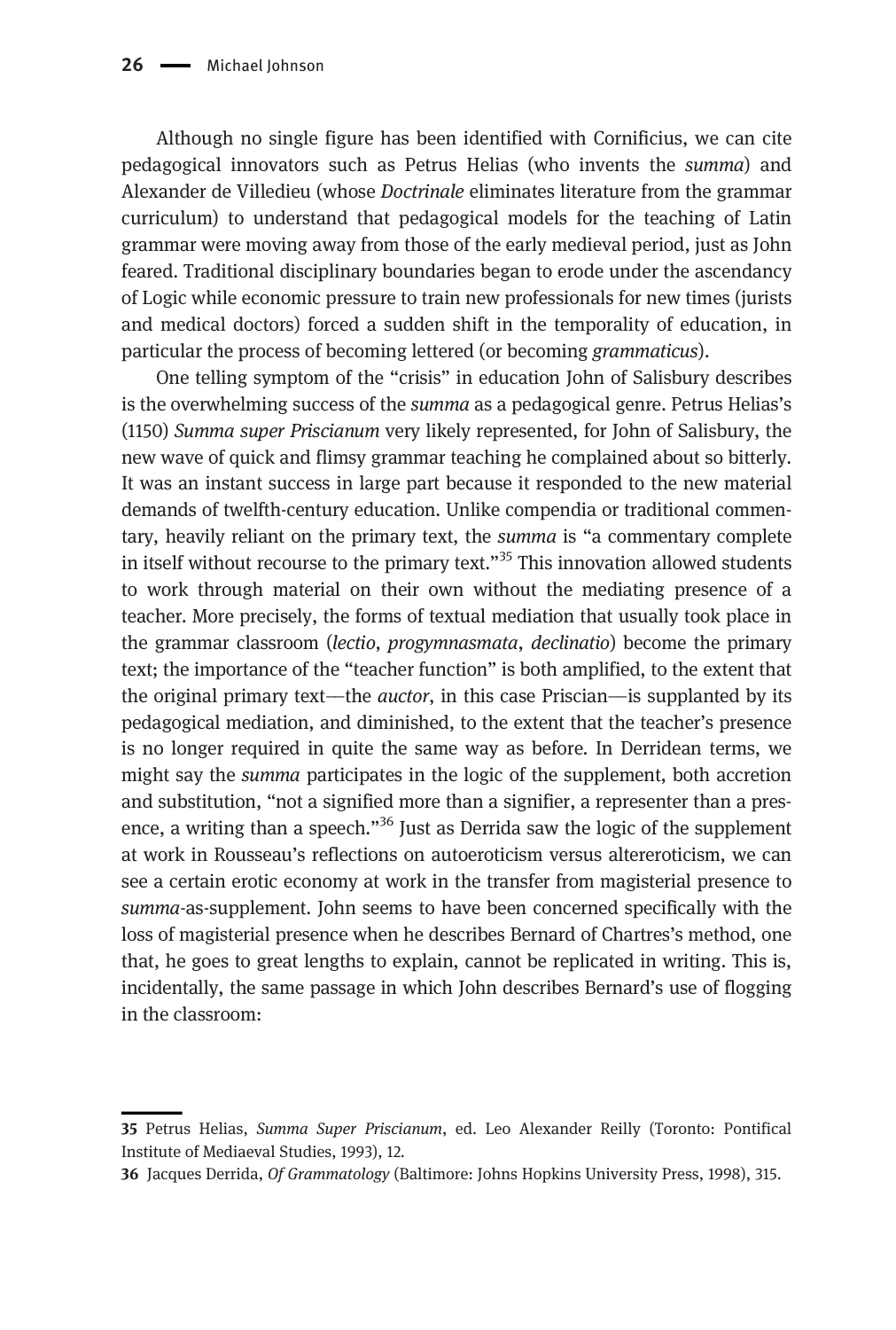Although no single figure has been identified with Cornificius, we can cite pedagogical innovators such as Petrus Helias (who invents the summa) and Alexander de Villedieu (whose Doctrinale eliminates literature from the grammar curriculum) to understand that pedagogical models for the teaching of Latin grammar were moving away from those of the early medieval period, just as John feared. Traditional disciplinary boundaries began to erode under the ascendancy of Logic while economic pressure to train new professionals for new times (jurists and medical doctors) forced a sudden shift in the temporality of education, in particular the process of becoming lettered (or becoming grammaticus).

One telling symptom of the "crisis" in education John of Salisbury describes is the overwhelming success of the *summa* as a pedagogical genre. Petrus Helias's (1150) Summa super Priscianum very likely represented, for John of Salisbury, the new wave of quick and flimsy grammar teaching he complained about so bitterly. It was an instant success in large part because it responded to the new material demands of twelfth-century education. Unlike compendia or traditional commentary, heavily reliant on the primary text, the summa is "a commentary complete in itself without recourse to the primary text."<sup>35</sup> This innovation allowed students to work through material on their own without the mediating presence of a teacher. More precisely, the forms of textual mediation that usually took place in the grammar classroom (lectio, progymnasmata, declinatio) become the primary text; the importance of the "teacher function" is both amplified, to the extent that the original primary text—the *auctor*, in this case Priscian—is supplanted by its pedagogical mediation, and diminished, to the extent that the teacher's presence is no longer required in quite the same way as before. In Derridean terms, we might say the summa participates in the logic of the supplement, both accretion and substitution, "not a signified more than a signifier, a representer than a presence, a writing than a speech."<sup>36</sup> Just as Derrida saw the logic of the supplement at work in Rousseau's reflections on autoeroticism versus altereroticism, we can see a certain erotic economy at work in the transfer from magisterial presence to summa-as-supplement. John seems to have been concerned specifically with the loss of magisterial presence when he describes Bernard of Chartres's method, one that, he goes to great lengths to explain, cannot be replicated in writing. This is, incidentally, the same passage in which John describes Bernard's use of flogging in the classroom:

<sup>35</sup> Petrus Helias, Summa Super Priscianum, ed. Leo Alexander Reilly (Toronto: Pontifical Institute of Mediaeval Studies, 1993), 12.

<sup>36</sup> Jacques Derrida, Of Grammatology (Baltimore: Johns Hopkins University Press, 1998), 315.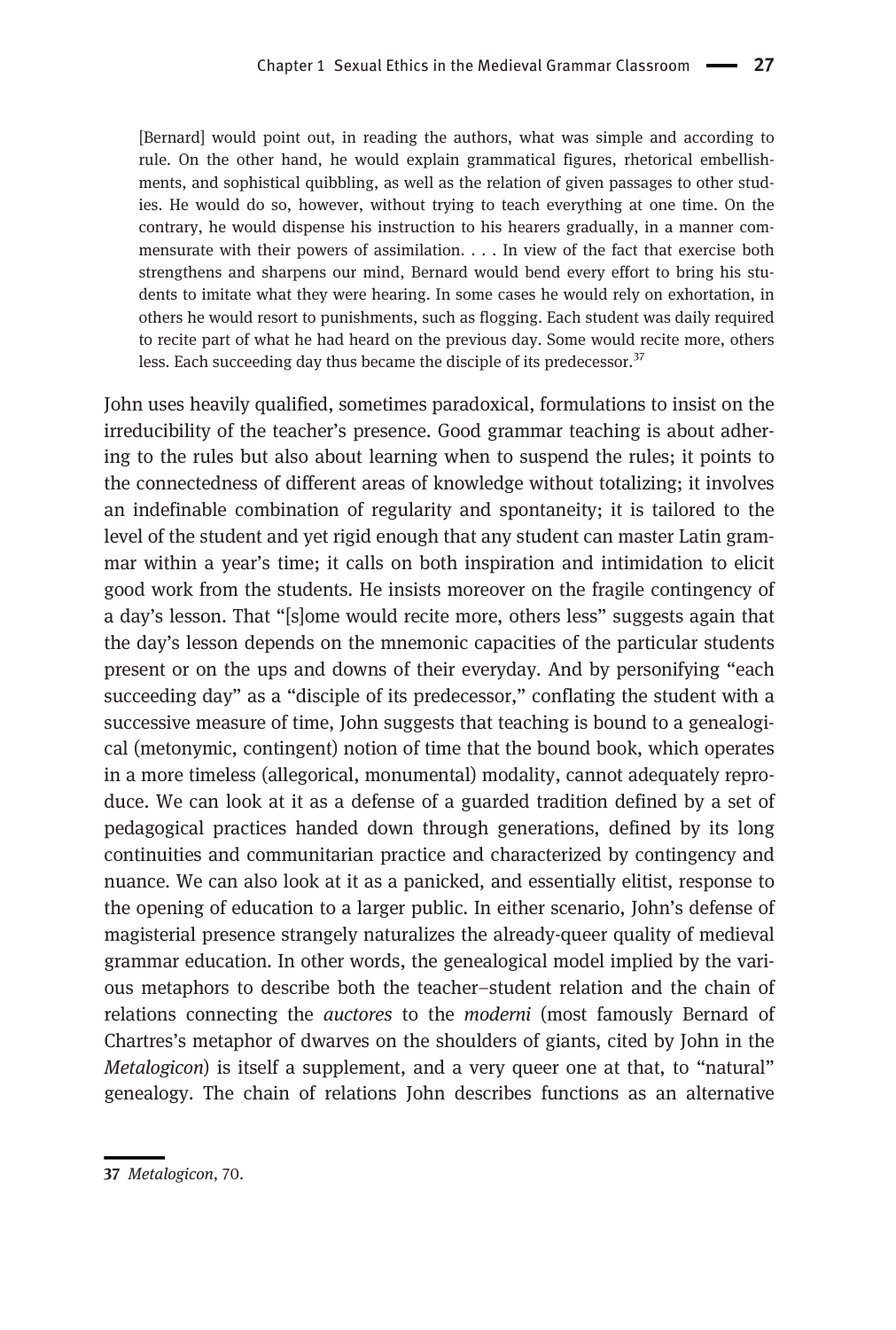[Bernard] would point out, in reading the authors, what was simple and according to rule. On the other hand, he would explain grammatical figures, rhetorical embellishments, and sophistical quibbling, as well as the relation of given passages to other studies. He would do so, however, without trying to teach everything at one time. On the contrary, he would dispense his instruction to his hearers gradually, in a manner commensurate with their powers of assimilation. . . . In view of the fact that exercise both strengthens and sharpens our mind, Bernard would bend every effort to bring his students to imitate what they were hearing. In some cases he would rely on exhortation, in others he would resort to punishments, such as flogging. Each student was daily required to recite part of what he had heard on the previous day. Some would recite more, others less. Each succeeding day thus became the disciple of its predecessor.<sup>37</sup>

John uses heavily qualified, sometimes paradoxical, formulations to insist on the irreducibility of the teacher's presence. Good grammar teaching is about adhering to the rules but also about learning when to suspend the rules; it points to the connectedness of different areas of knowledge without totalizing; it involves an indefinable combination of regularity and spontaneity; it is tailored to the level of the student and yet rigid enough that any student can master Latin grammar within a year's time; it calls on both inspiration and intimidation to elicit good work from the students. He insists moreover on the fragile contingency of a day's lesson. That "[s]ome would recite more, others less" suggests again that the day's lesson depends on the mnemonic capacities of the particular students present or on the ups and downs of their everyday. And by personifying "each succeeding day" as a "disciple of its predecessor," conflating the student with a successive measure of time, John suggests that teaching is bound to a genealogical (metonymic, contingent) notion of time that the bound book, which operates in a more timeless (allegorical, monumental) modality, cannot adequately reproduce. We can look at it as a defense of a guarded tradition defined by a set of pedagogical practices handed down through generations, defined by its long continuities and communitarian practice and characterized by contingency and nuance. We can also look at it as a panicked, and essentially elitist, response to the opening of education to a larger public. In either scenario, John's defense of magisterial presence strangely naturalizes the already-queer quality of medieval grammar education. In other words, the genealogical model implied by the various metaphors to describe both the teacher–student relation and the chain of relations connecting the auctores to the moderni (most famously Bernard of Chartres's metaphor of dwarves on the shoulders of giants, cited by John in the Metalogicon) is itself a supplement, and a very queer one at that, to "natural" genealogy. The chain of relations John describes functions as an alternative

<sup>37</sup> Metalogicon, 70.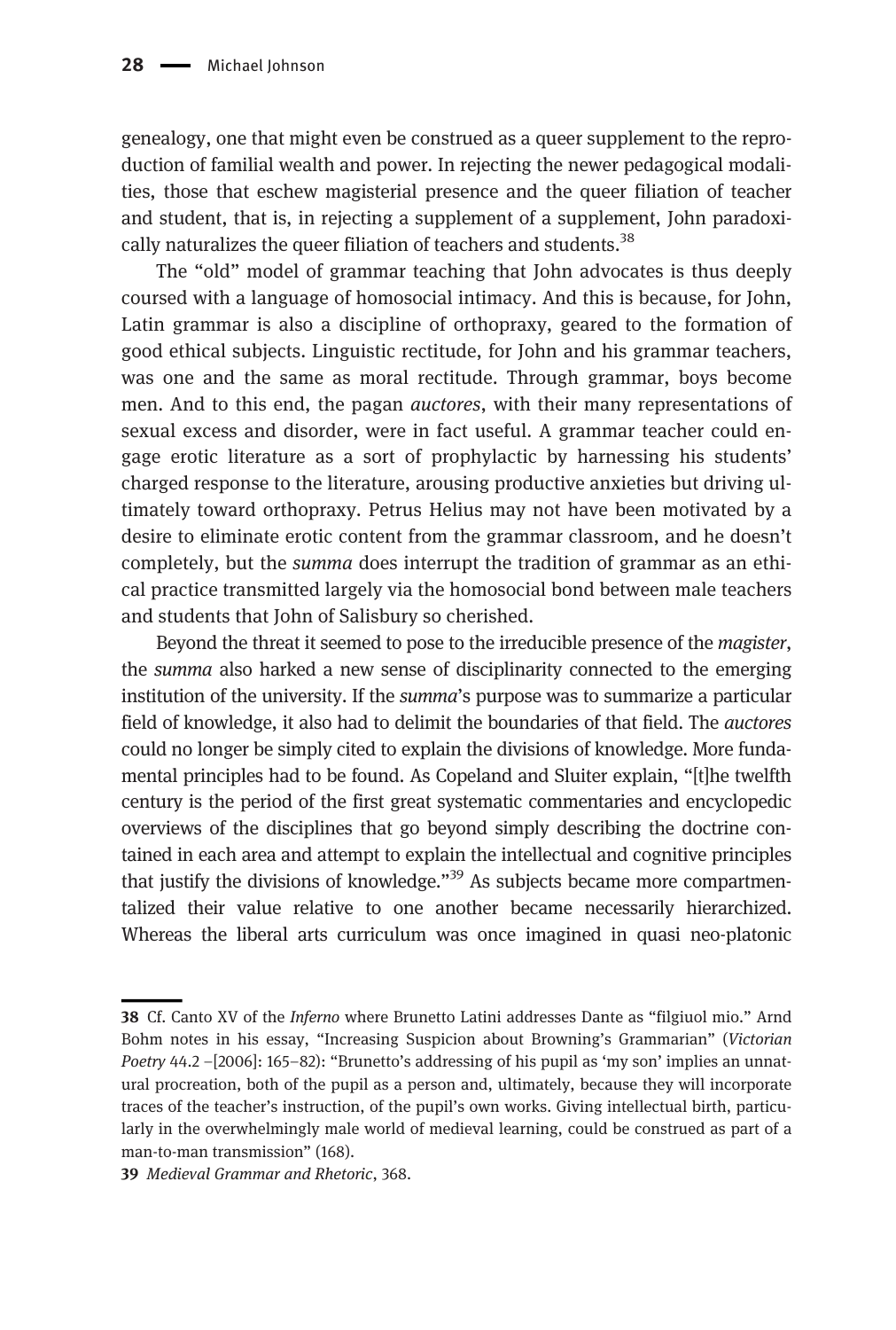genealogy, one that might even be construed as a queer supplement to the reproduction of familial wealth and power. In rejecting the newer pedagogical modalities, those that eschew magisterial presence and the queer filiation of teacher and student, that is, in rejecting a supplement of a supplement, John paradoxically naturalizes the queer filiation of teachers and students.<sup>38</sup>

The "old" model of grammar teaching that John advocates is thus deeply coursed with a language of homosocial intimacy. And this is because, for John, Latin grammar is also a discipline of orthopraxy, geared to the formation of good ethical subjects. Linguistic rectitude, for John and his grammar teachers, was one and the same as moral rectitude. Through grammar, boys become men. And to this end, the pagan auctores, with their many representations of sexual excess and disorder, were in fact useful. A grammar teacher could engage erotic literature as a sort of prophylactic by harnessing his students' charged response to the literature, arousing productive anxieties but driving ultimately toward orthopraxy. Petrus Helius may not have been motivated by a desire to eliminate erotic content from the grammar classroom, and he doesn't completely, but the summa does interrupt the tradition of grammar as an ethical practice transmitted largely via the homosocial bond between male teachers and students that John of Salisbury so cherished.

Beyond the threat it seemed to pose to the irreducible presence of the *magister*, the summa also harked a new sense of disciplinarity connected to the emerging institution of the university. If the summa's purpose was to summarize a particular field of knowledge, it also had to delimit the boundaries of that field. The auctores could no longer be simply cited to explain the divisions of knowledge. More fundamental principles had to be found. As Copeland and Sluiter explain, "[t]he twelfth century is the period of the first great systematic commentaries and encyclopedic overviews of the disciplines that go beyond simply describing the doctrine contained in each area and attempt to explain the intellectual and cognitive principles that justify the divisions of knowledge."<sup>39</sup> As subjects became more compartmentalized their value relative to one another became necessarily hierarchized. Whereas the liberal arts curriculum was once imagined in quasi neo-platonic

<sup>38</sup> Cf. Canto XV of the Inferno where Brunetto Latini addresses Dante as "filgiuol mio." Arnd Bohm notes in his essay, "Increasing Suspicion about Browning's Grammarian" (Victorian Poetry 44.2 -[2006]: 165-82): "Brunetto's addressing of his pupil as 'my son' implies an unnatural procreation, both of the pupil as a person and, ultimately, because they will incorporate traces of the teacher's instruction, of the pupil's own works. Giving intellectual birth, particularly in the overwhelmingly male world of medieval learning, could be construed as part of a man-to-man transmission" (168).

<sup>39</sup> Medieval Grammar and Rhetoric, 368.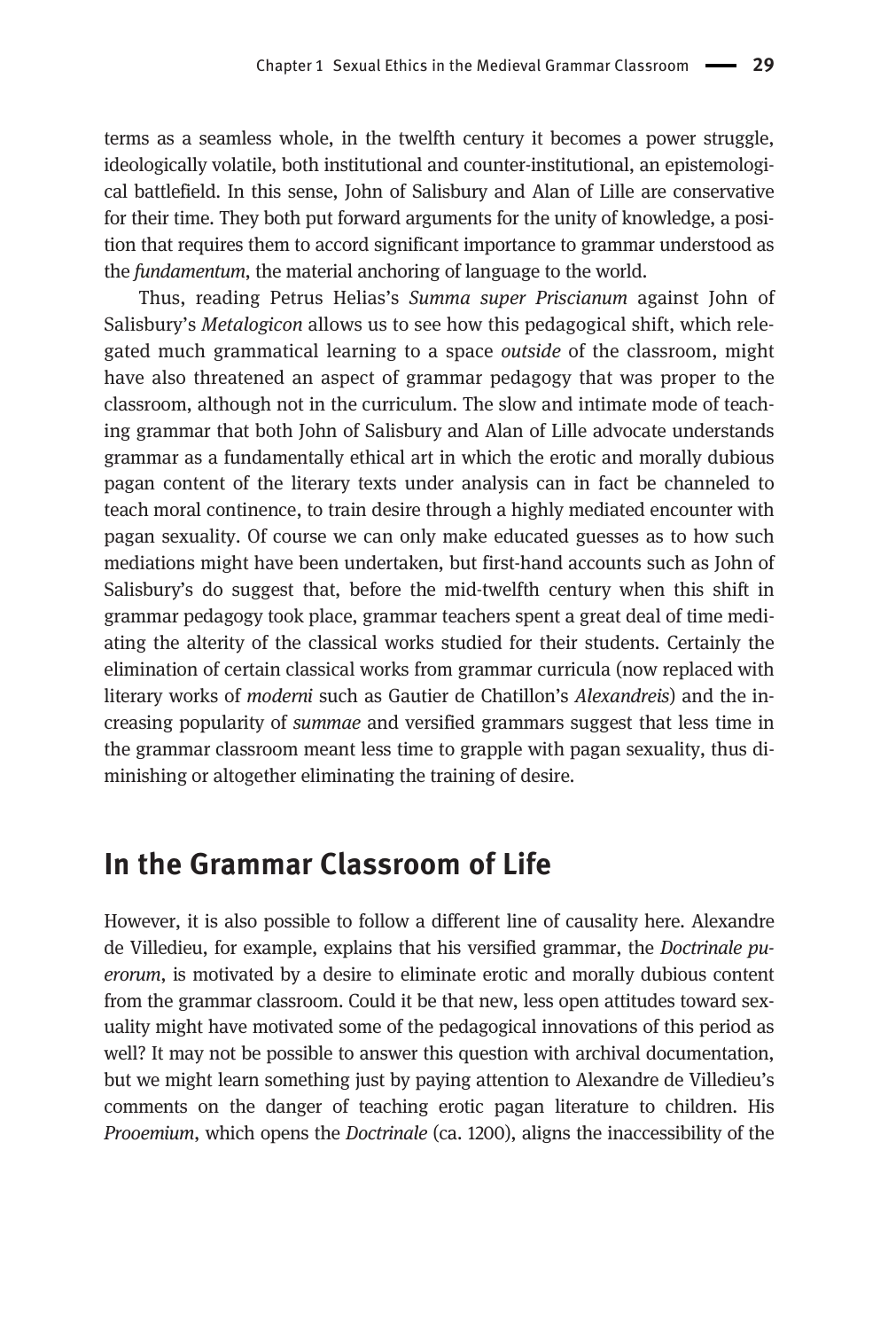terms as a seamless whole, in the twelfth century it becomes a power struggle, ideologically volatile, both institutional and counter-institutional, an epistemological battlefield. In this sense, John of Salisbury and Alan of Lille are conservative for their time. They both put forward arguments for the unity of knowledge, a position that requires them to accord significant importance to grammar understood as the fundamentum, the material anchoring of language to the world.

Thus, reading Petrus Helias's Summa super Priscianum against John of Salisbury's Metalogicon allows us to see how this pedagogical shift, which relegated much grammatical learning to a space outside of the classroom, might have also threatened an aspect of grammar pedagogy that was proper to the classroom, although not in the curriculum. The slow and intimate mode of teaching grammar that both John of Salisbury and Alan of Lille advocate understands grammar as a fundamentally ethical art in which the erotic and morally dubious pagan content of the literary texts under analysis can in fact be channeled to teach moral continence, to train desire through a highly mediated encounter with pagan sexuality. Of course we can only make educated guesses as to how such mediations might have been undertaken, but first-hand accounts such as John of Salisbury's do suggest that, before the mid-twelfth century when this shift in grammar pedagogy took place, grammar teachers spent a great deal of time mediating the alterity of the classical works studied for their students. Certainly the elimination of certain classical works from grammar curricula (now replaced with literary works of moderni such as Gautier de Chatillon's Alexandreis) and the increasing popularity of summae and versified grammars suggest that less time in the grammar classroom meant less time to grapple with pagan sexuality, thus diminishing or altogether eliminating the training of desire.

#### In the Grammar Classroom of Life

However, it is also possible to follow a different line of causality here. Alexandre de Villedieu, for example, explains that his versified grammar, the Doctrinale puerorum, is motivated by a desire to eliminate erotic and morally dubious content from the grammar classroom. Could it be that new, less open attitudes toward sexuality might have motivated some of the pedagogical innovations of this period as well? It may not be possible to answer this question with archival documentation, but we might learn something just by paying attention to Alexandre de Villedieu's comments on the danger of teaching erotic pagan literature to children. His Prooemium, which opens the Doctrinale (ca. 1200), aligns the inaccessibility of the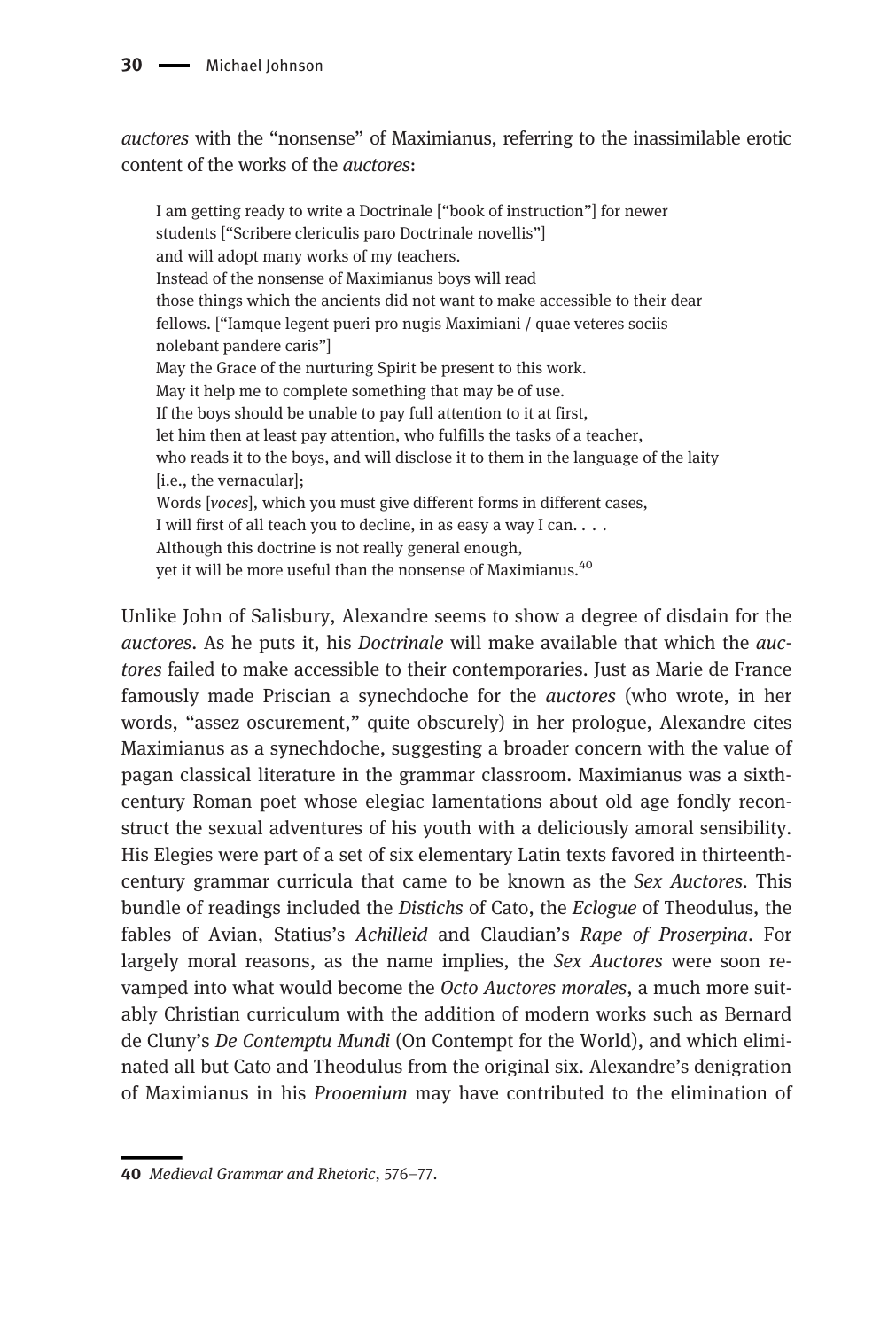auctores with the "nonsense" of Maximianus, referring to the inassimilable erotic content of the works of the auctores:

I am getting ready to write a Doctrinale ["book of instruction"] for newer students ["Scribere clericulis paro Doctrinale novellis"] and will adopt many works of my teachers. Instead of the nonsense of Maximianus boys will read those things which the ancients did not want to make accessible to their dear fellows. ["Iamque legent pueri pro nugis Maximiani / quae veteres sociis nolebant pandere caris"] May the Grace of the nurturing Spirit be present to this work. May it help me to complete something that may be of use. If the boys should be unable to pay full attention to it at first, let him then at least pay attention, who fulfills the tasks of a teacher, who reads it to the boys, and will disclose it to them in the language of the laity [i.e., the vernacular]; Words [voces], which you must give different forms in different cases, I will first of all teach you to decline, in as easy a way I can. . . . Although this doctrine is not really general enough, yet it will be more useful than the nonsense of Maximianus.<sup>40</sup>

Unlike John of Salisbury, Alexandre seems to show a degree of disdain for the auctores. As he puts it, his Doctrinale will make available that which the auctores failed to make accessible to their contemporaries. Just as Marie de France famously made Priscian a synechdoche for the auctores (who wrote, in her words, "assez oscurement," quite obscurely) in her prologue, Alexandre cites Maximianus as a synechdoche, suggesting a broader concern with the value of pagan classical literature in the grammar classroom. Maximianus was a sixthcentury Roman poet whose elegiac lamentations about old age fondly reconstruct the sexual adventures of his youth with a deliciously amoral sensibility. His Elegies were part of a set of six elementary Latin texts favored in thirteenthcentury grammar curricula that came to be known as the Sex Auctores. This bundle of readings included the Distichs of Cato, the Eclogue of Theodulus, the fables of Avian, Statius's Achilleid and Claudian's Rape of Proserpina. For largely moral reasons, as the name implies, the Sex Auctores were soon revamped into what would become the Octo Auctores morales, a much more suitably Christian curriculum with the addition of modern works such as Bernard de Cluny's De Contemptu Mundi (On Contempt for the World), and which eliminated all but Cato and Theodulus from the original six. Alexandre's denigration of Maximianus in his Prooemium may have contributed to the elimination of

<sup>40</sup> Medieval Grammar and Rhetoric, 576–77.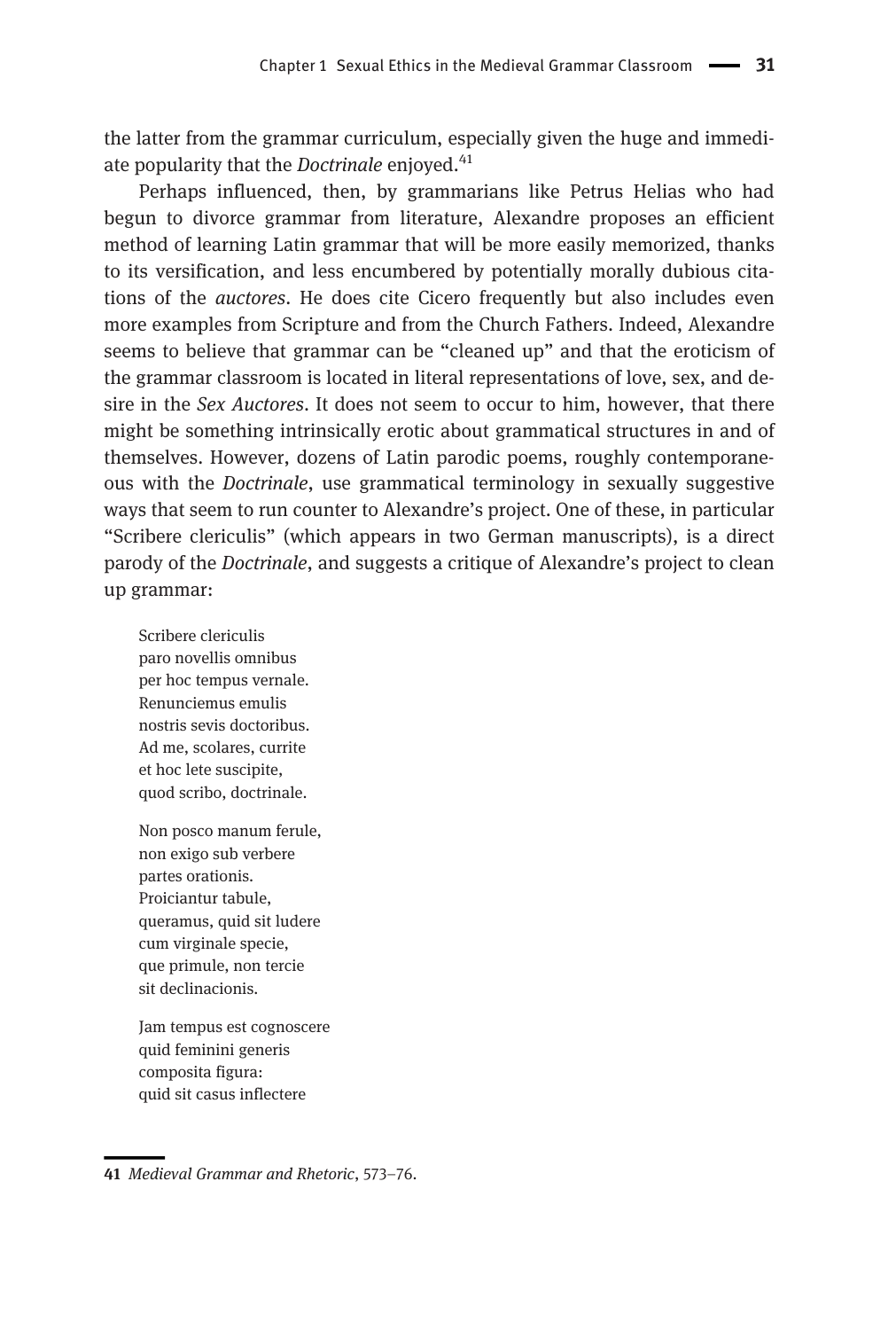the latter from the grammar curriculum, especially given the huge and immediate popularity that the *Doctrinale* enjoyed.<sup>41</sup>

Perhaps influenced, then, by grammarians like Petrus Helias who had begun to divorce grammar from literature, Alexandre proposes an efficient method of learning Latin grammar that will be more easily memorized, thanks to its versification, and less encumbered by potentially morally dubious citations of the auctores. He does cite Cicero frequently but also includes even more examples from Scripture and from the Church Fathers. Indeed, Alexandre seems to believe that grammar can be "cleaned up" and that the eroticism of the grammar classroom is located in literal representations of love, sex, and desire in the Sex Auctores. It does not seem to occur to him, however, that there might be something intrinsically erotic about grammatical structures in and of themselves. However, dozens of Latin parodic poems, roughly contemporaneous with the Doctrinale, use grammatical terminology in sexually suggestive ways that seem to run counter to Alexandre's project. One of these, in particular "Scribere clericulis" (which appears in two German manuscripts), is a direct parody of the Doctrinale, and suggests a critique of Alexandre's project to clean up grammar:

Scribere clericulis paro novellis omnibus per hoc tempus vernale. Renunciemus emulis nostris sevis doctoribus. Ad me, scolares, currite et hoc lete suscipite, quod scribo, doctrinale.

Non posco manum ferule, non exigo sub verbere partes orationis. Proiciantur tabule, queramus, quid sit ludere cum virginale specie, que primule, non tercie sit declinacionis.

Jam tempus est cognoscere quid feminini generis composita figura: quid sit casus inflectere

<sup>41</sup> Medieval Grammar and Rhetoric, 573–76.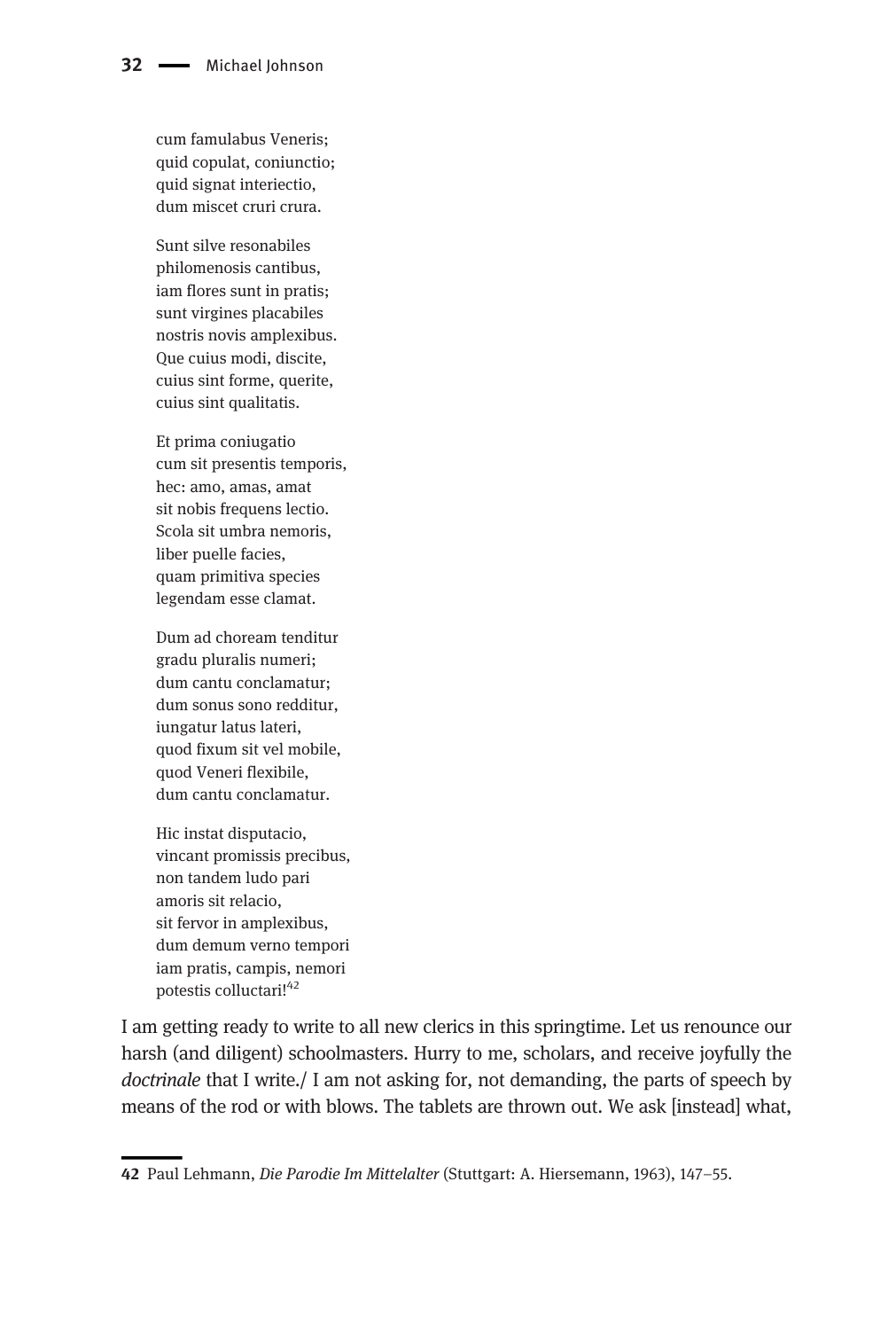cum famulabus Veneris; quid copulat, coniunctio; quid signat interiectio, dum miscet cruri crura.

Sunt silve resonabiles philomenosis cantibus, iam flores sunt in pratis; sunt virgines placabiles nostris novis amplexibus. Que cuius modi, discite, cuius sint forme, querite, cuius sint qualitatis.

Et prima coniugatio cum sit presentis temporis, hec: amo, amas, amat sit nobis frequens lectio. Scola sit umbra nemoris, liber puelle facies, quam primitiva species legendam esse clamat.

Dum ad choream tenditur gradu pluralis numeri; dum cantu conclamatur; dum sonus sono redditur, iungatur latus lateri, quod fixum sit vel mobile, quod Veneri flexibile, dum cantu conclamatur.

Hic instat disputacio, vincant promissis precibus, non tandem ludo pari amoris sit relacio, sit fervor in amplexibus, dum demum verno tempori iam pratis, campis, nemori potestis colluctari!<sup>42</sup>

I am getting ready to write to all new clerics in this springtime. Let us renounce our harsh (and diligent) schoolmasters. Hurry to me, scholars, and receive joyfully the doctrinale that I write./ I am not asking for, not demanding, the parts of speech by means of the rod or with blows. The tablets are thrown out. We ask [instead] what,

<sup>42</sup> Paul Lehmann, Die Parodie Im Mittelalter (Stuttgart: A. Hiersemann, 1963), 147–55.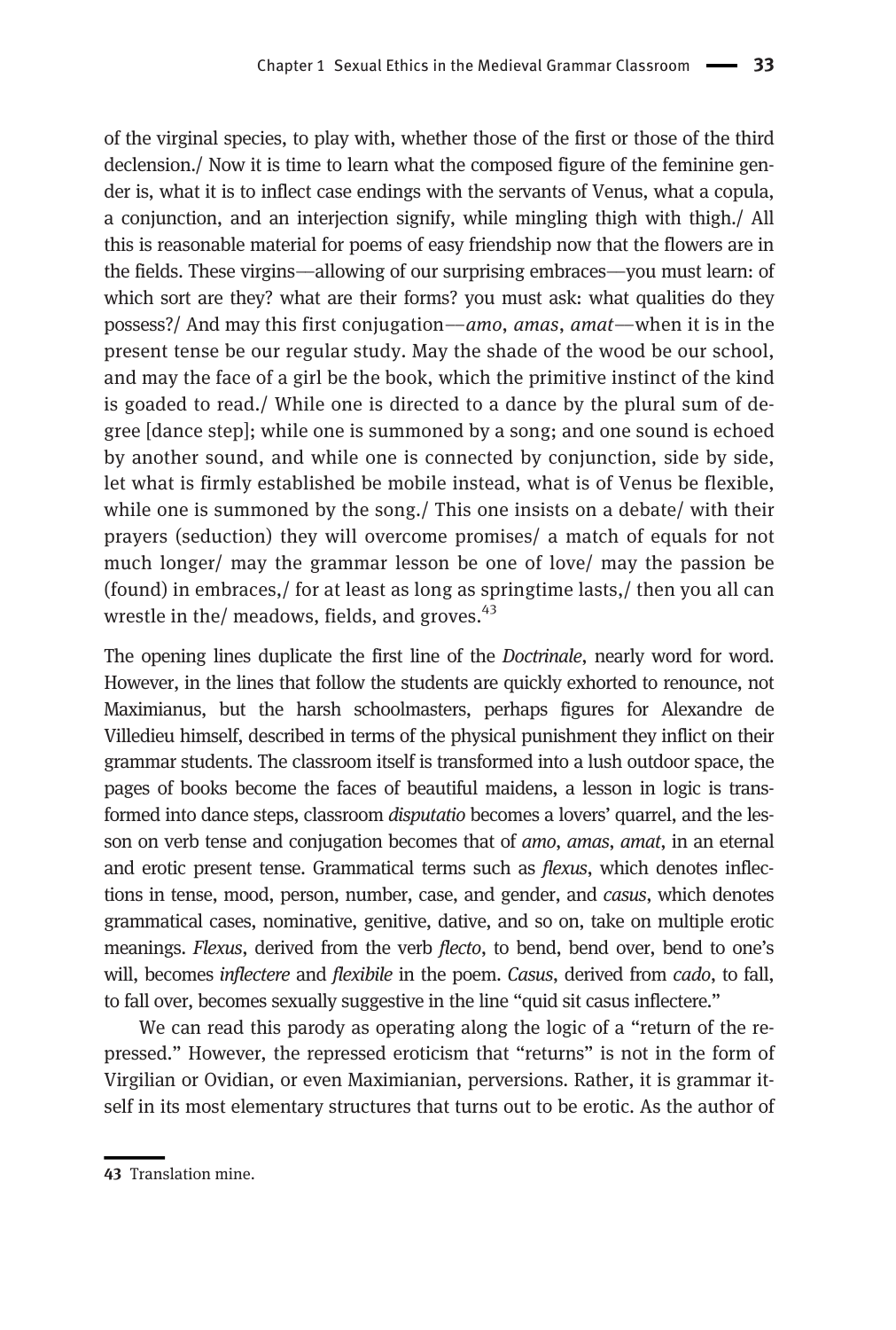of the virginal species, to play with, whether those of the first or those of the third declension./ Now it is time to learn what the composed figure of the feminine gender is, what it is to inflect case endings with the servants of Venus, what a copula, a conjunction, and an interjection signify, while mingling thigh with thigh./ All this is reasonable material for poems of easy friendship now that the flowers are in the fields. These virgins––allowing of our surprising embraces––you must learn: of which sort are they? what are their forms? you must ask: what qualities do they possess?/ And may this first conjugation––amo, amas, amat––when it is in the present tense be our regular study. May the shade of the wood be our school, and may the face of a girl be the book, which the primitive instinct of the kind is goaded to read./ While one is directed to a dance by the plural sum of degree [dance step]; while one is summoned by a song; and one sound is echoed by another sound, and while one is connected by conjunction, side by side, let what is firmly established be mobile instead, what is of Venus be flexible, while one is summoned by the song./ This one insists on a debate/ with their prayers (seduction) they will overcome promises/ a match of equals for not much longer/ may the grammar lesson be one of love/ may the passion be (found) in embraces,/ for at least as long as springtime lasts,/ then you all can wrestle in the/ meadows, fields, and groves.<sup>43</sup>

The opening lines duplicate the first line of the Doctrinale, nearly word for word. However, in the lines that follow the students are quickly exhorted to renounce, not Maximianus, but the harsh schoolmasters, perhaps figures for Alexandre de Villedieu himself, described in terms of the physical punishment they inflict on their grammar students. The classroom itself is transformed into a lush outdoor space, the pages of books become the faces of beautiful maidens, a lesson in logic is transformed into dance steps, classroom disputatio becomes a lovers' quarrel, and the lesson on verb tense and conjugation becomes that of *amo*, *amas*, *amat*, in an eternal and erotic present tense. Grammatical terms such as flexus, which denotes inflections in tense, mood, person, number, case, and gender, and casus, which denotes grammatical cases, nominative, genitive, dative, and so on, take on multiple erotic meanings. Flexus, derived from the verb flecto, to bend, bend over, bend to one's will, becomes inflectere and flexibile in the poem. Casus, derived from cado, to fall, to fall over, becomes sexually suggestive in the line "quid sit casus inflectere."

We can read this parody as operating along the logic of a "return of the repressed." However, the repressed eroticism that "returns" is not in the form of Virgilian or Ovidian, or even Maximianian, perversions. Rather, it is grammar itself in its most elementary structures that turns out to be erotic. As the author of

<sup>43</sup> Translation mine.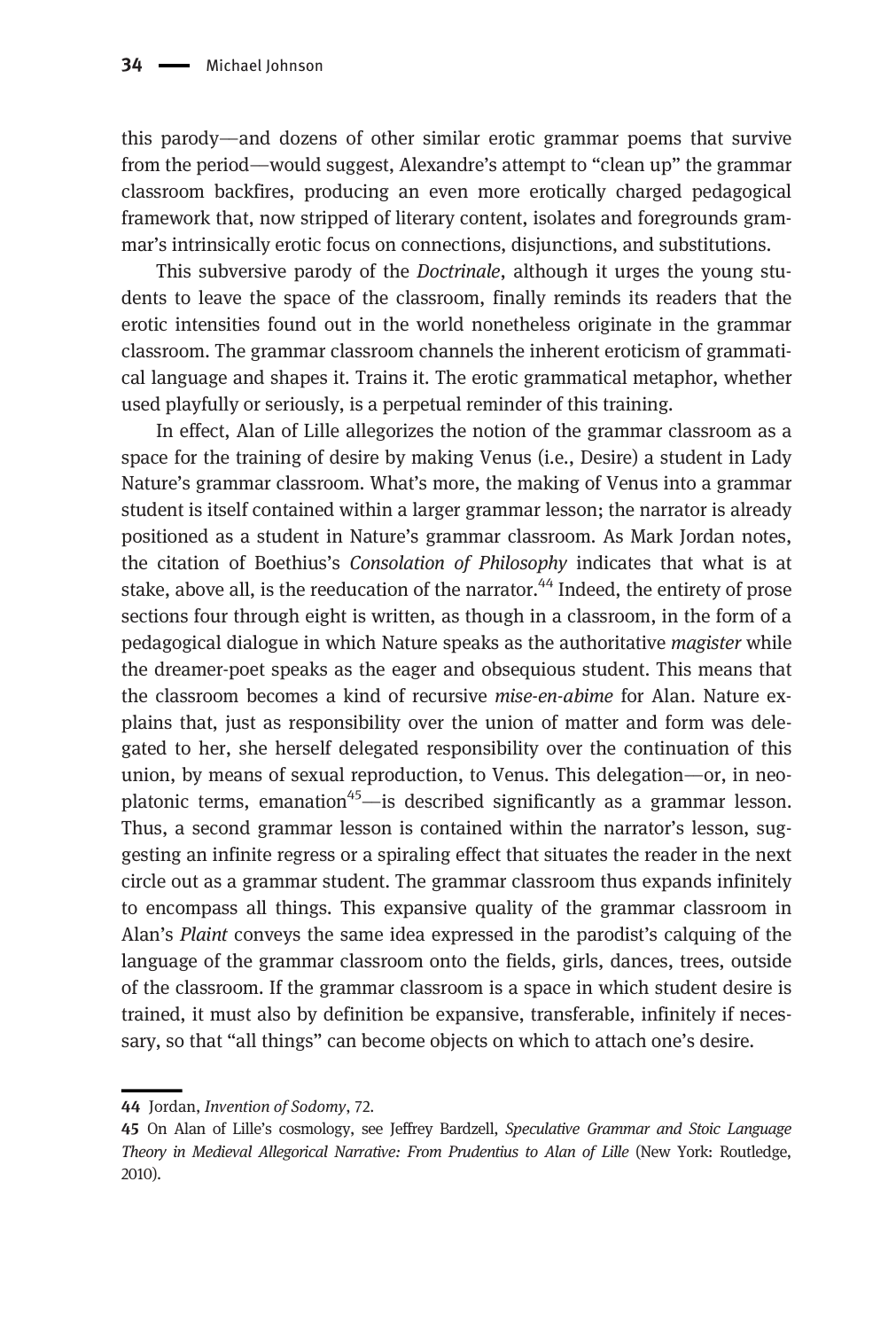this parody––and dozens of other similar erotic grammar poems that survive from the period––would suggest, Alexandre's attempt to "clean up" the grammar classroom backfires, producing an even more erotically charged pedagogical framework that, now stripped of literary content, isolates and foregrounds grammar's intrinsically erotic focus on connections, disjunctions, and substitutions.

This subversive parody of the Doctrinale, although it urges the young students to leave the space of the classroom, finally reminds its readers that the erotic intensities found out in the world nonetheless originate in the grammar classroom. The grammar classroom channels the inherent eroticism of grammatical language and shapes it. Trains it. The erotic grammatical metaphor, whether used playfully or seriously, is a perpetual reminder of this training.

In effect, Alan of Lille allegorizes the notion of the grammar classroom as a space for the training of desire by making Venus (i.e., Desire) a student in Lady Nature's grammar classroom. What's more, the making of Venus into a grammar student is itself contained within a larger grammar lesson; the narrator is already positioned as a student in Nature's grammar classroom. As Mark Jordan notes, the citation of Boethius's Consolation of Philosophy indicates that what is at stake, above all, is the reeducation of the narrator.<sup>44</sup> Indeed, the entirety of prose sections four through eight is written, as though in a classroom, in the form of a pedagogical dialogue in which Nature speaks as the authoritative magister while the dreamer-poet speaks as the eager and obsequious student. This means that the classroom becomes a kind of recursive mise-en-abime for Alan. Nature explains that, just as responsibility over the union of matter and form was delegated to her, she herself delegated responsibility over the continuation of this union, by means of sexual reproduction, to Venus. This delegation—or, in neoplatonic terms, emanation<sup>45</sup>—is described significantly as a grammar lesson. Thus, a second grammar lesson is contained within the narrator's lesson, suggesting an infinite regress or a spiraling effect that situates the reader in the next circle out as a grammar student. The grammar classroom thus expands infinitely to encompass all things. This expansive quality of the grammar classroom in Alan's Plaint conveys the same idea expressed in the parodist's calquing of the language of the grammar classroom onto the fields, girls, dances, trees, outside of the classroom. If the grammar classroom is a space in which student desire is trained, it must also by definition be expansive, transferable, infinitely if necessary, so that "all things" can become objects on which to attach one's desire.

<sup>44</sup> Jordan, Invention of Sodomy, 72.

<sup>45</sup> On Alan of Lille's cosmology, see Jeffrey Bardzell, Speculative Grammar and Stoic Language Theory in Medieval Allegorical Narrative: From Prudentius to Alan of Lille (New York: Routledge, 2010).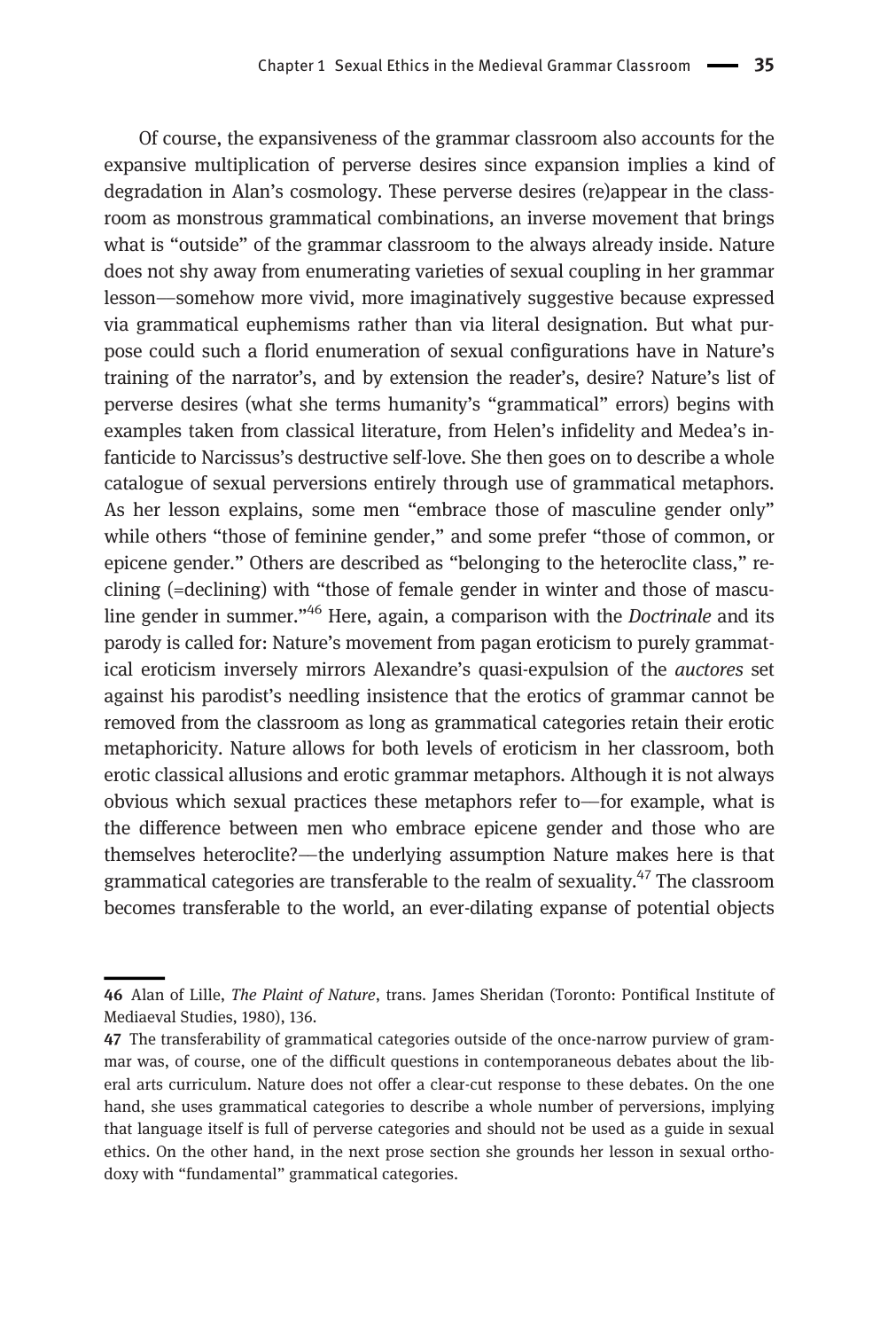Of course, the expansiveness of the grammar classroom also accounts for the expansive multiplication of perverse desires since expansion implies a kind of degradation in Alan's cosmology. These perverse desires (re)appear in the classroom as monstrous grammatical combinations, an inverse movement that brings what is "outside" of the grammar classroom to the always already inside. Nature does not shy away from enumerating varieties of sexual coupling in her grammar lesson––somehow more vivid, more imaginatively suggestive because expressed via grammatical euphemisms rather than via literal designation. But what purpose could such a florid enumeration of sexual configurations have in Nature's training of the narrator's, and by extension the reader's, desire? Nature's list of perverse desires (what she terms humanity's "grammatical" errors) begins with examples taken from classical literature, from Helen's infidelity and Medea's infanticide to Narcissus's destructive self-love. She then goes on to describe a whole catalogue of sexual perversions entirely through use of grammatical metaphors. As her lesson explains, some men "embrace those of masculine gender only" while others "those of feminine gender," and some prefer "those of common, or epicene gender." Others are described as "belonging to the heteroclite class," reclining (=declining) with "those of female gender in winter and those of masculine gender in summer."<sup>46</sup> Here, again, a comparison with the *Doctrinale* and its parody is called for: Nature's movement from pagan eroticism to purely grammatical eroticism inversely mirrors Alexandre's quasi-expulsion of the auctores set against his parodist's needling insistence that the erotics of grammar cannot be removed from the classroom as long as grammatical categories retain their erotic metaphoricity. Nature allows for both levels of eroticism in her classroom, both erotic classical allusions and erotic grammar metaphors. Although it is not always obvious which sexual practices these metaphors refer to––for example, what is the difference between men who embrace epicene gender and those who are themselves heteroclite?––the underlying assumption Nature makes here is that grammatical categories are transferable to the realm of sexuality.<sup>47</sup> The classroom becomes transferable to the world, an ever-dilating expanse of potential objects

<sup>46</sup> Alan of Lille, The Plaint of Nature, trans. James Sheridan (Toronto: Pontifical Institute of Mediaeval Studies, 1980), 136.

<sup>47</sup> The transferability of grammatical categories outside of the once-narrow purview of grammar was, of course, one of the difficult questions in contemporaneous debates about the liberal arts curriculum. Nature does not offer a clear-cut response to these debates. On the one hand, she uses grammatical categories to describe a whole number of perversions, implying that language itself is full of perverse categories and should not be used as a guide in sexual ethics. On the other hand, in the next prose section she grounds her lesson in sexual orthodoxy with "fundamental" grammatical categories.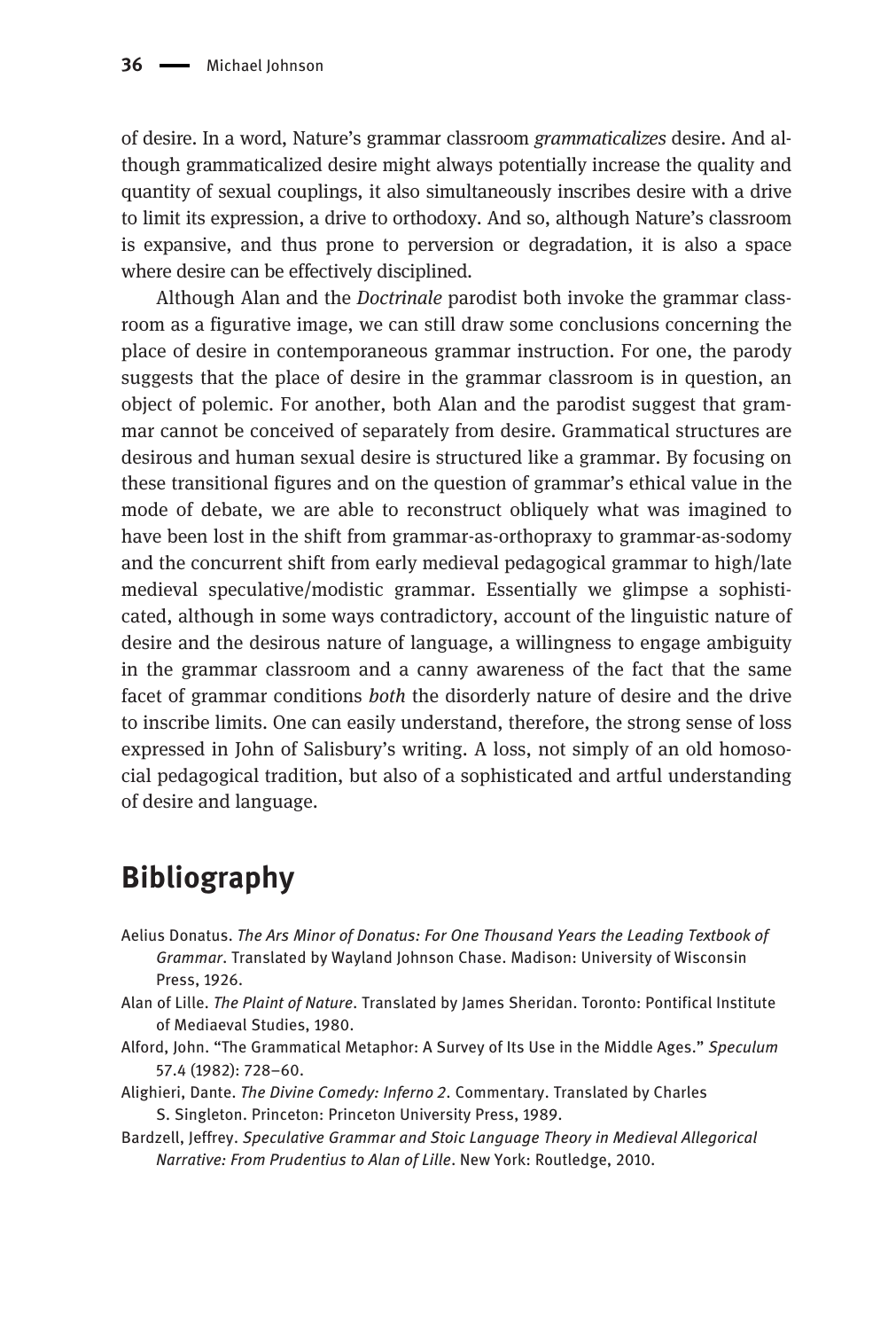of desire. In a word, Nature's grammar classroom grammaticalizes desire. And although grammaticalized desire might always potentially increase the quality and quantity of sexual couplings, it also simultaneously inscribes desire with a drive to limit its expression, a drive to orthodoxy. And so, although Nature's classroom is expansive, and thus prone to perversion or degradation, it is also a space where desire can be effectively disciplined.

Although Alan and the Doctrinale parodist both invoke the grammar classroom as a figurative image, we can still draw some conclusions concerning the place of desire in contemporaneous grammar instruction. For one, the parody suggests that the place of desire in the grammar classroom is in question, an object of polemic. For another, both Alan and the parodist suggest that grammar cannot be conceived of separately from desire. Grammatical structures are desirous and human sexual desire is structured like a grammar. By focusing on these transitional figures and on the question of grammar's ethical value in the mode of debate, we are able to reconstruct obliquely what was imagined to have been lost in the shift from grammar-as-orthopraxy to grammar-as-sodomy and the concurrent shift from early medieval pedagogical grammar to high/late medieval speculative/modistic grammar. Essentially we glimpse a sophisticated, although in some ways contradictory, account of the linguistic nature of desire and the desirous nature of language, a willingness to engage ambiguity in the grammar classroom and a canny awareness of the fact that the same facet of grammar conditions both the disorderly nature of desire and the drive to inscribe limits. One can easily understand, therefore, the strong sense of loss expressed in John of Salisbury's writing. A loss, not simply of an old homosocial pedagogical tradition, but also of a sophisticated and artful understanding of desire and language.

# Bibliography

- Aelius Donatus. The Ars Minor of Donatus: For One Thousand Years the Leading Textbook of Grammar. Translated by Wayland Johnson Chase. Madison: University of Wisconsin Press, 1926.
- Alan of Lille. The Plaint of Nature. Translated by James Sheridan. Toronto: Pontifical Institute of Mediaeval Studies, 1980.
- Alford, John. "The Grammatical Metaphor: A Survey of Its Use in the Middle Ages." Speculum 57.4 (1982): 728–60.
- Alighieri, Dante. The Divine Comedy: Inferno 2. Commentary. Translated by Charles S. Singleton. Princeton: Princeton University Press, 1989.
- Bardzell, Jeffrey. Speculative Grammar and Stoic Language Theory in Medieval Allegorical Narrative: From Prudentius to Alan of Lille. New York: Routledge, 2010.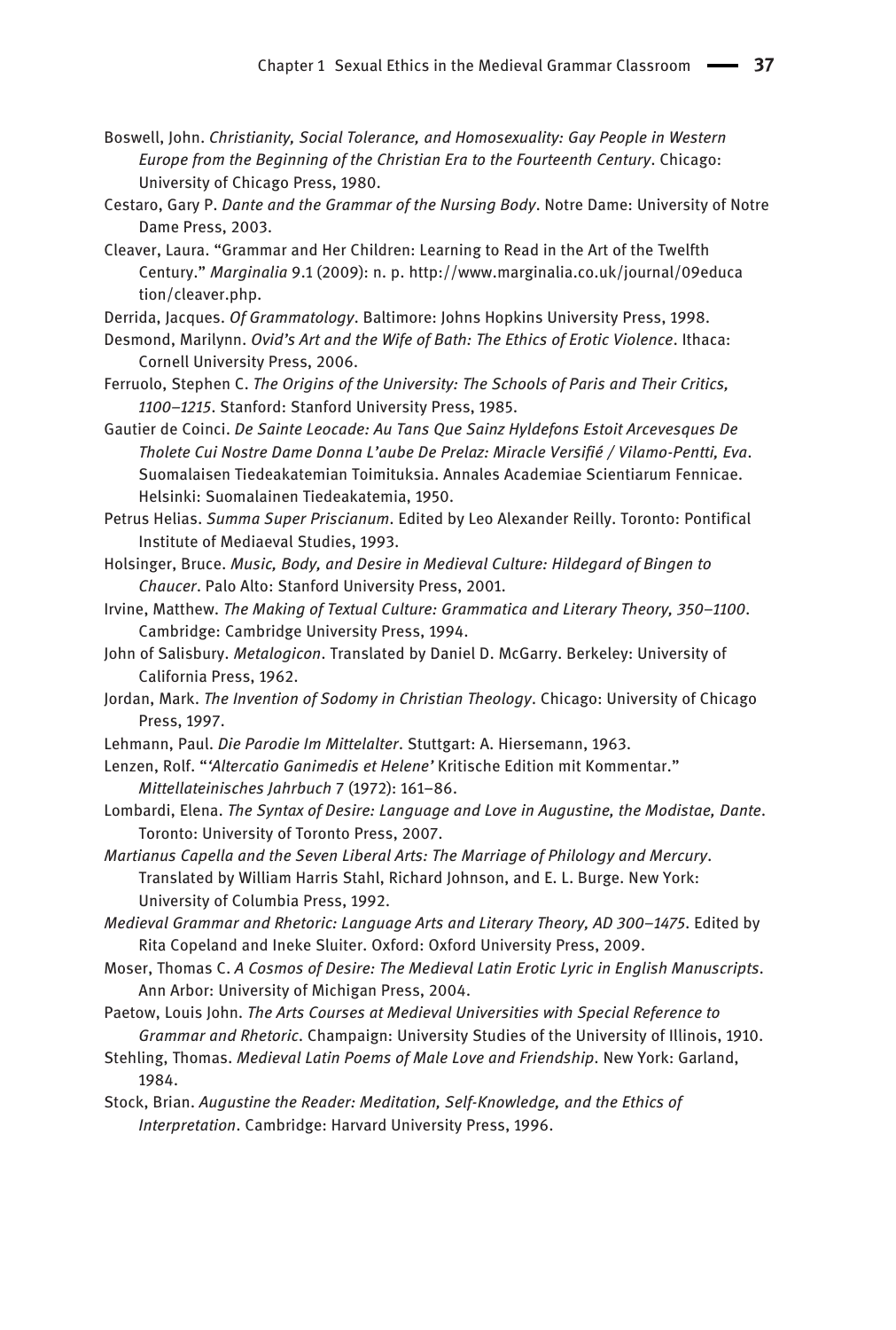- Boswell, John. Christianity, Social Tolerance, and Homosexuality: Gay People in Western Europe from the Beginning of the Christian Era to the Fourteenth Century. Chicago: University of Chicago Press, 1980.
- Cestaro, Gary P. Dante and the Grammar of the Nursing Body. Notre Dame: University of Notre Dame Press, 2003.
- Cleaver, Laura. "Grammar and Her Children: Learning to Read in the Art of the Twelfth Century." Marginalia 9.1 (2009): n. p. [http://www.marginalia.co.uk/journal/09educa](http://www.marginalia.co.uk/journal/09education/cleaver.php) [tion/cleaver.php](http://www.marginalia.co.uk/journal/09education/cleaver.php).
- Derrida, Jacques. Of Grammatology. Baltimore: Johns Hopkins University Press, 1998.
- Desmond, Marilynn. Ovid's Art and the Wife of Bath: The Ethics of Erotic Violence. Ithaca: Cornell University Press, 2006.
- Ferruolo, Stephen C. The Origins of the University: The Schools of Paris and Their Critics, 1100–1215. Stanford: Stanford University Press, 1985.
- Gautier de Coinci. De Sainte Leocade: Au Tans Que Sainz Hyldefons Estoit Arcevesques De Tholete Cui Nostre Dame Donna L'aube De Prelaz: Miracle Versifié / Vilamo-Pentti, Eva. Suomalaisen Tiedeakatemian Toimituksia. Annales Academiae Scientiarum Fennicae. Helsinki: Suomalainen Tiedeakatemia, 1950.
- Petrus Helias. Summa Super Priscianum. Edited by Leo Alexander Reilly. Toronto: Pontifical Institute of Mediaeval Studies, 1993.
- Holsinger, Bruce. Music, Body, and Desire in Medieval Culture: Hildegard of Bingen to Chaucer. Palo Alto: Stanford University Press, 2001.
- Irvine, Matthew. The Making of Textual Culture: Grammatica and Literary Theory, 350–1100. Cambridge: Cambridge University Press, 1994.
- John of Salisbury. Metalogicon. Translated by Daniel D. McGarry. Berkeley: University of California Press, 1962.
- Jordan, Mark. The Invention of Sodomy in Christian Theology. Chicago: University of Chicago Press, 1997.
- Lehmann, Paul. Die Parodie Im Mittelalter. Stuttgart: A. Hiersemann, 1963.
- Lenzen, Rolf. "'Altercatio Ganimedis et Helene' Kritische Edition mit Kommentar." Mittellateinisches Jahrbuch 7 (1972): 161–86.
- Lombardi, Elena. The Syntax of Desire: Language and Love in Augustine, the Modistae, Dante. Toronto: University of Toronto Press, 2007.
- Martianus Capella and the Seven Liberal Arts: The Marriage of Philology and Mercury. Translated by William Harris Stahl, Richard Johnson, and E. L. Burge. New York: University of Columbia Press, 1992.
- Medieval Grammar and Rhetoric: Language Arts and Literary Theory, AD 300–1475. Edited by Rita Copeland and Ineke Sluiter. Oxford: Oxford University Press, 2009.
- Moser, Thomas C. A Cosmos of Desire: The Medieval Latin Erotic Lyric in English Manuscripts. Ann Arbor: University of Michigan Press, 2004.
- Paetow, Louis John. The Arts Courses at Medieval Universities with Special Reference to Grammar and Rhetoric. Champaign: University Studies of the University of Illinois, 1910.
- Stehling, Thomas. Medieval Latin Poems of Male Love and Friendship. New York: Garland, 1984.
- Stock, Brian. Augustine the Reader: Meditation, Self-Knowledge, and the Ethics of Interpretation. Cambridge: Harvard University Press, 1996.